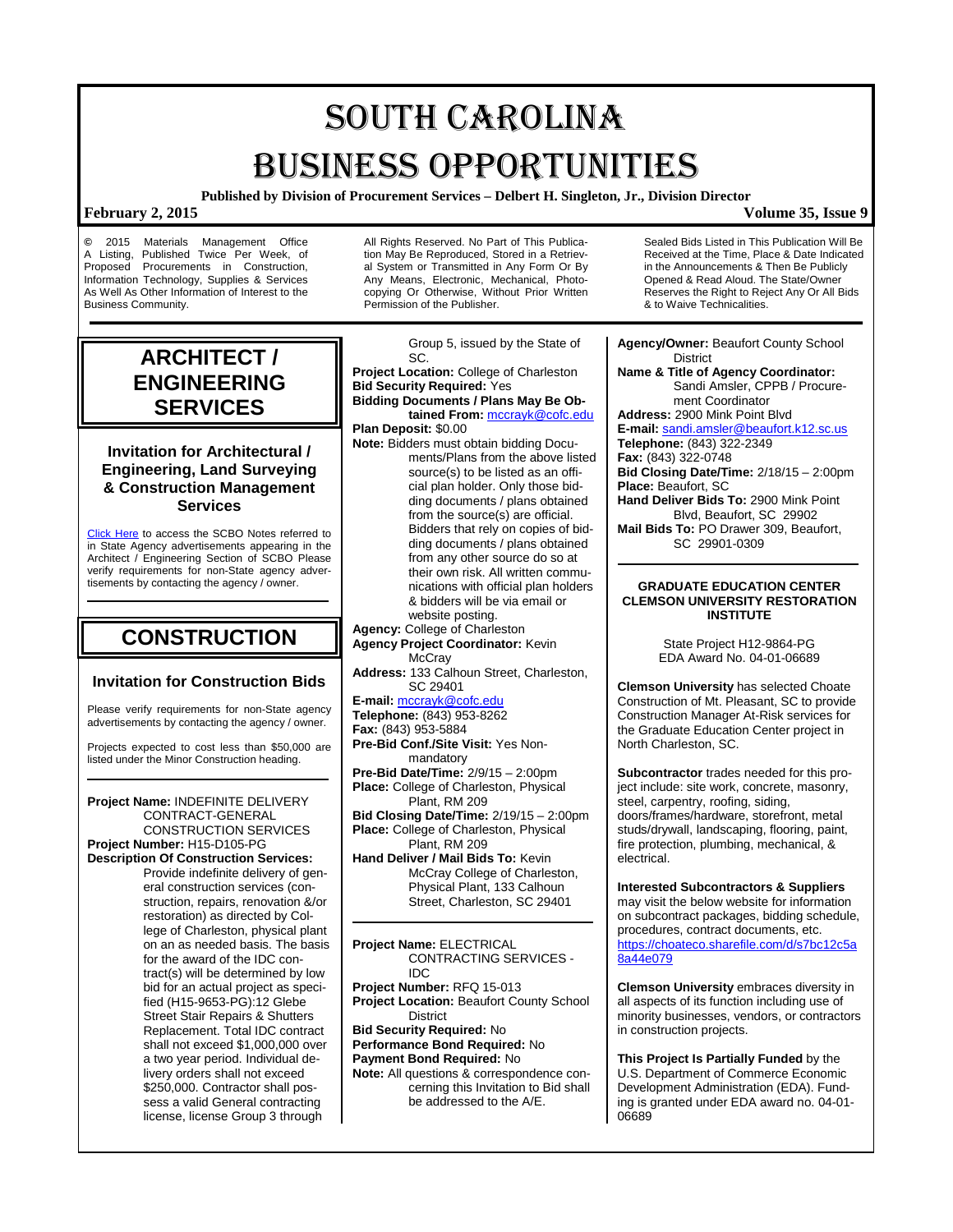# SOUTH CAROLINA BUSINESS OPPORTUNITIES

**Published by Division of Procurement Services – Delbert H. Singleton, Jr., Division Director**

**©** 2015 Materials Management Office A Listing, Published Twice Per Week, of Proposed Procurements in Construction, Information Technology, Supplies & Services As Well As Other Information of Interest to the Business Community.

All Rights Reserved. No Part of This Publication May Be Reproduced, Stored in a Retrieval System or Transmitted in Any Form Or By Any Means, Electronic, Mechanical, Photocopying Or Otherwise, Without Prior Written Permission of the Publisher.

## **ARCHITECT / ENGINEERING SERVICES**

## **Invitation for Architectural / Engineering, Land Surveying & Construction Management Services**

[Click Here](http://www.mmo.sc.gov/PS/general/scbo/SCBO_Notes_060512.pdf) to access the SCBO Notes referred to in State Agency advertisements appearing in the Architect / Engineering Section of SCBO Please verify requirements for non-State agency advertisements by contacting the agency / owner.

## **CONSTRUCTION**

## **Invitation for Construction Bids**

Please verify requirements for non-State agency advertisements by contacting the agency / owner.

Projects expected to cost less than \$50,000 are listed under the Minor Construction heading.

### **Project Name:** INDEFINITE DELIVERY CONTRACT-GENERAL CONSTRUCTION SERVICES **Project Number:** H15-D105-PG **Description Of Construction Services:** Provide indefinite delivery of general construction services (construction, repairs, renovation &/or restoration) as directed by College of Charleston, physical plant on an as needed basis. The basis for the award of the IDC contract(s) will be determined by low bid for an actual project as specified (H15-9653-PG):12 Glebe Street Stair Repairs & Shutters Replacement. Total IDC contract shall not exceed \$1,000,000 over a two year period. Individual delivery orders shall not exceed \$250,000. Contractor shall possess a valid General contracting license, license Group 3 through

Group 5, issued by the State of SC. **Project Location:** College of Charleston **Bid Security Required:** Yes **Bidding Documents / Plans May Be Obtained From:** [mccrayk@cofc.edu](mailto:mccrayk@cofc.edu) **Plan Deposit:** \$0.00 **Note:** Bidders must obtain bidding Documents/Plans from the above listed source(s) to be listed as an official plan holder. Only those bidding documents / plans obtained from the source(s) are official. Bidders that rely on copies of bidding documents / plans obtained from any other source do so at their own risk. All written communications with official plan holders & bidders will be via email or website posting. **Agency:** College of Charleston **Agency Project Coordinator:** Kevin **McCray Address:** 133 Calhoun Street, Charleston, SC 29401 **E-mail:** [mccrayk@cofc.edu](mailto:mccrayk@cofc.edu) **Telephone:** (843) 953-8262 **Fax:** (843) 953-5884 **Pre-Bid Conf./Site Visit:** Yes Nonmandatory **Pre-Bid Date/Time:** 2/9/15 – 2:00pm **Place:** College of Charleston, Physical

Plant, RM 209 **Bid Closing Date/Time:** 2/19/15 – 2:00pm **Place:** College of Charleston, Physical Plant, RM 209

**Hand Deliver / Mail Bids To:** Kevin McCray College of Charleston, Physical Plant, 133 Calhoun Street, Charleston, SC 29401

**Project Name:** ELECTRICAL CONTRACTING SERVICES - IDC

**Project Number:** RFQ 15-013 **Project Location:** Beaufort County School **District Bid Security Required:** No

**Performance Bond Required:** No **Payment Bond Required:** No

**Note:** All questions & correspondence concerning this Invitation to Bid shall be addressed to the A/E.

Sealed Bids Listed in This Publication Will Be Received at the Time, Place & Date Indicated in the Announcements & Then Be Publicly Opened & Read Aloud. The State/Owner Reserves the Right to Reject Any Or All Bids & to Waive Technicalities.

**Agency/Owner:** Beaufort County School District

**Name & Title of Agency Coordinator:** Sandi Amsler, CPPB / Procurement Coordinator

**Address:** 2900 Mink Point Blvd

**E-mail:** [sandi.amsler@beaufort.k12.sc.us](mailto:sandi.amsler@beaufort.k12.sc.us) **Telephone:** (843) 322-2349 **Fax:** (843) 322-0748 **Bid Closing Date/Time:** 2/18/15 – 2:00pm **Place:** Beaufort, SC

**Hand Deliver Bids To:** 2900 Mink Point Blvd, Beaufort, SC 29902

**Mail Bids To:** PO Drawer 309, Beaufort, SC 29901-0309

### **GRADUATE EDUCATION CENTER CLEMSON UNIVERSITY RESTORATION INSTITUTE**

State Project H12-9864-PG EDA Award No. 04-01-06689

**Clemson University** has selected Choate Construction of Mt. Pleasant, SC to provide Construction Manager At-Risk services for the Graduate Education Center project in North Charleston, SC.

**Subcontractor** trades needed for this project include: site work, concrete, masonry, steel, carpentry, roofing, siding, doors/frames/hardware, storefront, metal studs/drywall, landscaping, flooring, paint, fire protection, plumbing, mechanical, & electrical.

**Interested Subcontractors & Suppliers** may visit the below website for information on subcontract packages, bidding schedule, procedures, contract documents, etc. [https://choateco.sharefile.com/d/s7bc12c5a](https://choateco.sharefile.com/d/s7bc12c5a8a44e079) [8a44e079](https://choateco.sharefile.com/d/s7bc12c5a8a44e079)

**Clemson University** embraces diversity in all aspects of its function including use of minority businesses, vendors, or contractors in construction projects.

**This Project Is Partially Funded** by the U.S. Department of Commerce Economic Development Administration (EDA). Funding is granted under EDA award no. 04-01- 06689

## **February 2, 2015 Volume 35, Issue 9**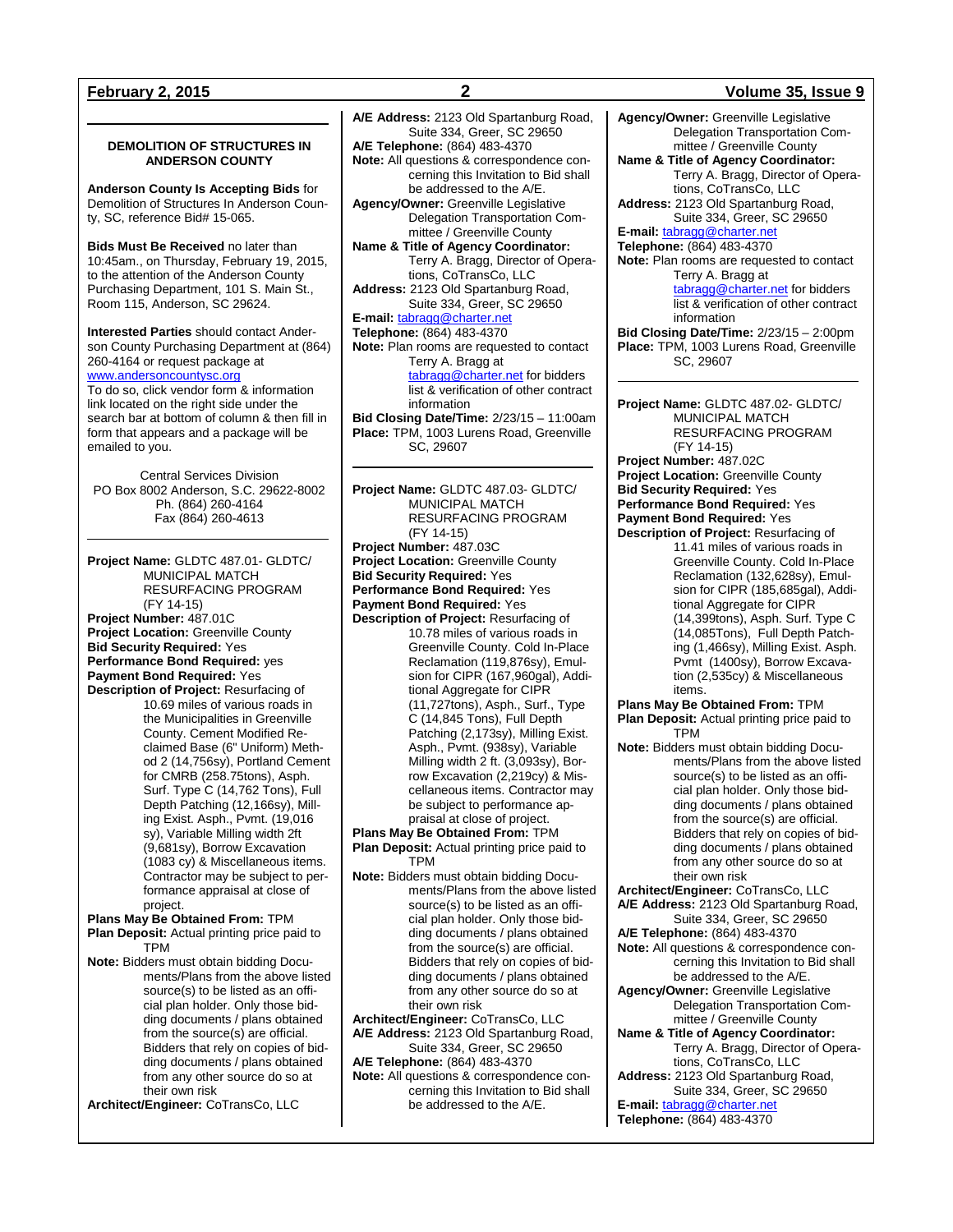## **DEMOLITION OF STRUCTURES IN ANDERSON COUNTY**

**Anderson County Is Accepting Bids** for Demolition of Structures In Anderson County, SC, reference Bid# 15-065.

**Bids Must Be Received** no later than 10:45am., on Thursday, February 19, 2015, to the attention of the Anderson County Purchasing Department, 101 S. Main St., Room 115, Anderson, SC 29624.

**Interested Parties** should contact Anderson County Purchasing Department at (864) 260-4164 or request package at [www.andersoncountysc.org](http://www.andersoncountysc.org/) To do so, click vendor form & information link located on the right side under the search bar at bottom of column & then fill in form that appears and a package will be emailed to you.

Central Services Division PO Box 8002 Anderson, S.C. 29622-8002 Ph. (864) 260-4164 Fax (864) 260-4613

**Project Name:** GLDTC 487.01- GLDTC/ MUNICIPAL MATCH RESURFACING PROGRAM (FY 14-15) **Project Number:** 487.01C **Project Location:** Greenville County **Bid Security Required:** Yes **Performance Bond Required:** yes **Payment Bond Required:** Yes **Description of Project:** Resurfacing of 10.69 miles of various roads in the Municipalities in Greenville County. Cement Modified Reclaimed Base (6" Uniform) Meth-

od 2 (14,756sy), Portland Cement for CMRB (258.75tons), Asph. Surf. Type C (14,762 Tons), Full Depth Patching (12,166sy), Milling Exist. Asph., Pvmt. (19,016 sy), Variable Milling width 2ft (9,681sy), Borrow Excavation (1083 cy) & Miscellaneous items. Contractor may be subject to performance appraisal at close of project.

**Plans May Be Obtained From:** TPM **Plan Deposit:** Actual printing price paid to

TPM **Note:** Bidders must obtain bidding Documents/Plans from the above listed source(s) to be listed as an official plan holder. Only those bidding documents / plans obtained from the source(s) are official. Bidders that rely on copies of bidding documents / plans obtained from any other source do so at their own risk

**Architect/Engineer:** CoTransCo, LLC

**February 2, 2015 2 Volume 35, Issue 9 A/E Address:** 2123 Old Spartanburg Road, Suite 334, Greer, SC 29650 **A/E Telephone:** (864) 483-4370 **Note:** All questions & correspondence concerning this Invitation to Bid shall be addressed to the A/E. **Agency/Owner:** Greenville Legislative Delegation Transportation Committee / Greenville County **Name & Title of Agency Coordinator:** Terry A. Bragg, Director of Operations, CoTransCo, LLC **Address:** 2123 Old Spartanburg Road, Suite 334, Greer, SC 29650 **E-mail:** [tabragg@charter.net](mailto:tabragg@charter.net) **Telephone:** (864) 483-4370 **Note:** Plan rooms are requested to contact Terry A. Bragg at [tabragg@charter.net](mailto:tabragg@charter.net) for bidders list & verification of other contract information **Bid Closing Date/Time:** 2/23/15 – 11:00am **Place:** TPM, 1003 Lurens Road, Greenville SC, 29607 **Project Name:** GLDTC 487.03- GLDTC/ MUNICIPAL MATCH RESURFACING PROGRAM (FY 14-15) **Project Number:** 487.03C **Project Location:** Greenville County **Bid Security Required:** Yes **Performance Bond Required:** Yes **Payment Bond Required:** Yes **Description of Project:** Resurfacing of 10.78 miles of various roads in Greenville County. Cold In-Place Reclamation (119,876sy), Emulsion for CIPR (167,960gal), Additional Aggregate for CIPR (11,727tons), Asph., Surf., Type

C (14,845 Tons), Full Depth Patching (2,173sy), Milling Exist. Asph., Pvmt. (938sy), Variable Milling width 2 ft. (3,093sy), Borrow Excavation (2,219cy) & Miscellaneous items. Contractor may be subject to performance appraisal at close of project.

**Plans May Be Obtained From:** TPM

**Plan Deposit:** Actual printing price paid to TPM

**Note:** Bidders must obtain bidding Documents/Plans from the above listed source(s) to be listed as an official plan holder. Only those bidding documents / plans obtained from the source(s) are official. Bidders that rely on copies of bidding documents / plans obtained from any other source do so at their own risk

**Architect/Engineer:** CoTransCo, LLC **A/E Address:** 2123 Old Spartanburg Road,

Suite 334, Greer, SC 29650 **A/E Telephone:** (864) 483-4370

**Note:** All questions & correspondence concerning this Invitation to Bid shall be addressed to the A/E.

**Agency/Owner:** Greenville Legislative Delegation Transportation Committee / Greenville County **Name & Title of Agency Coordinator:** Terry A. Bragg, Director of Operations, CoTransCo, LLC **Address:** 2123 Old Spartanburg Road, Suite 334, Greer, SC 29650 **E-mail:** [tabragg@charter.net](mailto:tabragg@charter.net) **Telephone:** (864) 483-4370 **Note:** Plan rooms are requested to contact Terry A. Bragg at [tabragg@charter.net](mailto:tabragg@charter.net) for bidders list & verification of other contract information **Bid Closing Date/Time:** 2/23/15 – 2:00pm **Place:** TPM, 1003 Lurens Road, Greenville SC, 29607 **Project Name:** GLDTC 487.02- GLDTC/ MUNICIPAL MATCH RESURFACING PROGRAM (FY 14-15) **Project Number:** 487.02C **Project Location:** Greenville County **Bid Security Required:** Yes **Performance Bond Required:** Yes **Payment Bond Required:** Yes **Description of Project:** Resurfacing of 11.41 miles of various roads in Greenville County. Cold In-Place Reclamation (132,628sy), Emulsion for CIPR (185,685gal), Additional Aggregate for CIPR (14,399tons), Asph. Surf. Type C (14,085Tons), Full Depth Patching (1,466sy), Milling Exist. Asph. Pvmt (1400sy), Borrow Excavation (2,535cy) & Miscellaneous items. **Plans May Be Obtained From:** TPM **Plan Deposit:** Actual printing price paid to TPM **Note:** Bidders must obtain bidding Documents/Plans from the above listed source(s) to be listed as an official plan holder. Only those bidding documents / plans obtained from the source(s) are official. Bidders that rely on copies of bidding documents / plans obtained from any other source do so at their own risk **Architect/Engineer:** CoTransCo, LLC **A/E Address:** 2123 Old Spartanburg Road, Suite 334, Greer, SC 29650 **A/E Telephone:** (864) 483-4370 **Note:** All questions & correspondence concerning this Invitation to Bid shall be addressed to the A/E. **Agency/Owner:** Greenville Legislative Delegation Transportation Committee / Greenville County **Name & Title of Agency Coordinator:** Terry A. Bragg, Director of Opera-

tions, CoTransCo, LLC **Address:** 2123 Old Spartanburg Road, Suite 334, Greer, SC 29650

**E-mail:** [tabragg@charter.net](mailto:tabragg@charter.net) **Telephone:** (864) 483-4370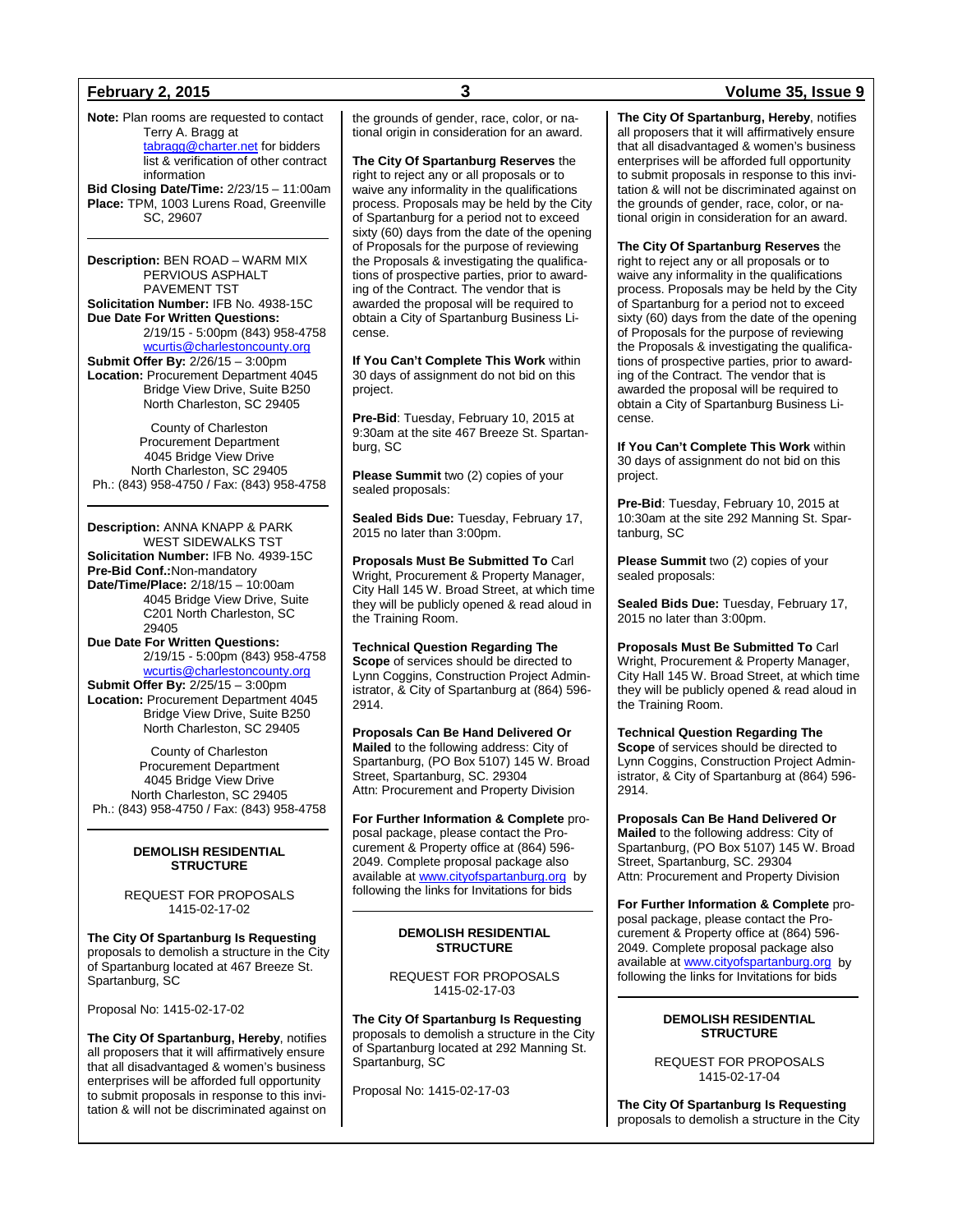**Note:** Plan rooms are requested to contact Terry A. Bragg at [tabragg@charter.net](mailto:tabragg@charter.net) for bidders list & verification of other contract information

**Bid Closing Date/Time:** 2/23/15 – 11:00am **Place:** TPM, 1003 Lurens Road, Greenville SC, 29607

**Description:** BEN ROAD – WARM MIX PERVIOUS ASPHALT PAVEMENT TST **Solicitation Number:** IFB No. 4938-15C **Due Date For Written Questions:** 2/19/15 - 5:00pm (843) 958-4758

[wcurtis@charlestoncounty.org](mailto:wcurtis@charlestoncounty.org) **Submit Offer By:** 2/26/15 – 3:00pm **Location:** Procurement Department 4045 Bridge View Drive, Suite B250 North Charleston, SC 29405

County of Charleston Procurement Department 4045 Bridge View Drive North Charleston, SC 29405 Ph.: (843) 958-4750 / Fax: (843) 958-4758

**Description:** ANNA KNAPP & PARK WEST SIDEWALKS TST **Solicitation Number:** IFB No. 4939-15C **Pre-Bid Conf.:**Non-mandatory **Date/Time/Place:** 2/18/15 – 10:00am 4045 Bridge View Drive, Suite C201 North Charleston, SC 29405

**Due Date For Written Questions:** 2/19/15 - 5:00pm (843) 958-4758 [wcurtis@charlestoncounty.org](mailto:wcurtis@charlestoncounty.org) **Submit Offer By:** 2/25/15 – 3:00pm **Location:** Procurement Department 4045 Bridge View Drive, Suite B250 North Charleston, SC 29405

County of Charleston Procurement Department 4045 Bridge View Drive North Charleston, SC 29405 Ph.: (843) 958-4750 / Fax: (843) 958-4758

## **DEMOLISH RESIDENTIAL STRUCTURE**

REQUEST FOR PROPOSALS 1415-02-17-02

**The City Of Spartanburg Is Requesting** proposals to demolish a structure in the City of Spartanburg located at 467 Breeze St. Spartanburg, SC

Proposal No: 1415-02-17-02

**The City Of Spartanburg, Hereby**, notifies all proposers that it will affirmatively ensure that all disadvantaged & women's business enterprises will be afforded full opportunity to submit proposals in response to this invitation & will not be discriminated against on the grounds of gender, race, color, or national origin in consideration for an award.

**The City Of Spartanburg Reserves** the right to reject any or all proposals or to waive any informality in the qualifications process. Proposals may be held by the City of Spartanburg for a period not to exceed sixty (60) days from the date of the opening of Proposals for the purpose of reviewing the Proposals & investigating the qualifications of prospective parties, prior to awarding of the Contract. The vendor that is awarded the proposal will be required to obtain a City of Spartanburg Business License.

**If You Can't Complete This Work** within 30 days of assignment do not bid on this project.

**Pre-Bid**: Tuesday, February 10, 2015 at 9:30am at the site 467 Breeze St. Spartanburg, SC

**Please Summit** two (2) copies of your sealed proposals:

**Sealed Bids Due:** Tuesday, February 17, 2015 no later than 3:00pm.

**Proposals Must Be Submitted To** Carl Wright, Procurement & Property Manager, City Hall 145 W. Broad Street, at which time they will be publicly opened & read aloud in the Training Room.

**Technical Question Regarding The Scope** of services should be directed to Lynn Coggins, Construction Project Administrator, & City of Spartanburg at (864) 596- 2914.

**Proposals Can Be Hand Delivered Or Mailed** to the following address: City of Spartanburg, (PO Box 5107) 145 W. Broad Street, Spartanburg, SC. 29304 Attn: Procurement and Property Division

**For Further Information & Complete** proposal package, please contact the Procurement & Property office at (864) 596- 2049. Complete proposal package also available a[t www.cityofspartanburg.org](http://www.cityofspartanburg.org/) by following the links for Invitations for bids

## **DEMOLISH RESIDENTIAL STRUCTURE**

REQUEST FOR PROPOSALS 1415-02-17-03

**The City Of Spartanburg Is Requesting** proposals to demolish a structure in the City of Spartanburg located at 292 Manning St. Spartanburg, SC

Proposal No: 1415-02-17-03

## **February 2, 2015 3 Volume 35, Issue 9**

**The City Of Spartanburg, Hereby**, notifies all proposers that it will affirmatively ensure that all disadvantaged & women's business enterprises will be afforded full opportunity to submit proposals in response to this invitation & will not be discriminated against on the grounds of gender, race, color, or national origin in consideration for an award.

**The City Of Spartanburg Reserves** the right to reject any or all proposals or to waive any informality in the qualifications process. Proposals may be held by the City of Spartanburg for a period not to exceed sixty (60) days from the date of the opening of Proposals for the purpose of reviewing the Proposals & investigating the qualifications of prospective parties, prior to awarding of the Contract. The vendor that is awarded the proposal will be required to obtain a City of Spartanburg Business License.

**If You Can't Complete This Work** within 30 days of assignment do not bid on this project.

**Pre-Bid**: Tuesday, February 10, 2015 at 10:30am at the site 292 Manning St. Spartanburg, SC

**Please Summit** two (2) copies of your sealed proposals:

**Sealed Bids Due:** Tuesday, February 17, 2015 no later than 3:00pm.

**Proposals Must Be Submitted To** Carl Wright, Procurement & Property Manager, City Hall 145 W. Broad Street, at which time they will be publicly opened & read aloud in the Training Room.

**Technical Question Regarding The Scope** of services should be directed to Lynn Coggins, Construction Project Administrator, & City of Spartanburg at (864) 596- 2914.

**Proposals Can Be Hand Delivered Or Mailed** to the following address: City of Spartanburg, (PO Box 5107) 145 W. Broad Street, Spartanburg, SC. 29304 Attn: Procurement and Property Division

**For Further Information & Complete** proposal package, please contact the Procurement & Property office at (864) 596- 2049. Complete proposal package also available a[t www.cityofspartanburg.org](http://www.cityofspartanburg.org/) by following the links for Invitations for bids

## **DEMOLISH RESIDENTIAL STRUCTURE**

REQUEST FOR PROPOSALS 1415-02-17-04

**The City Of Spartanburg Is Requesting** proposals to demolish a structure in the City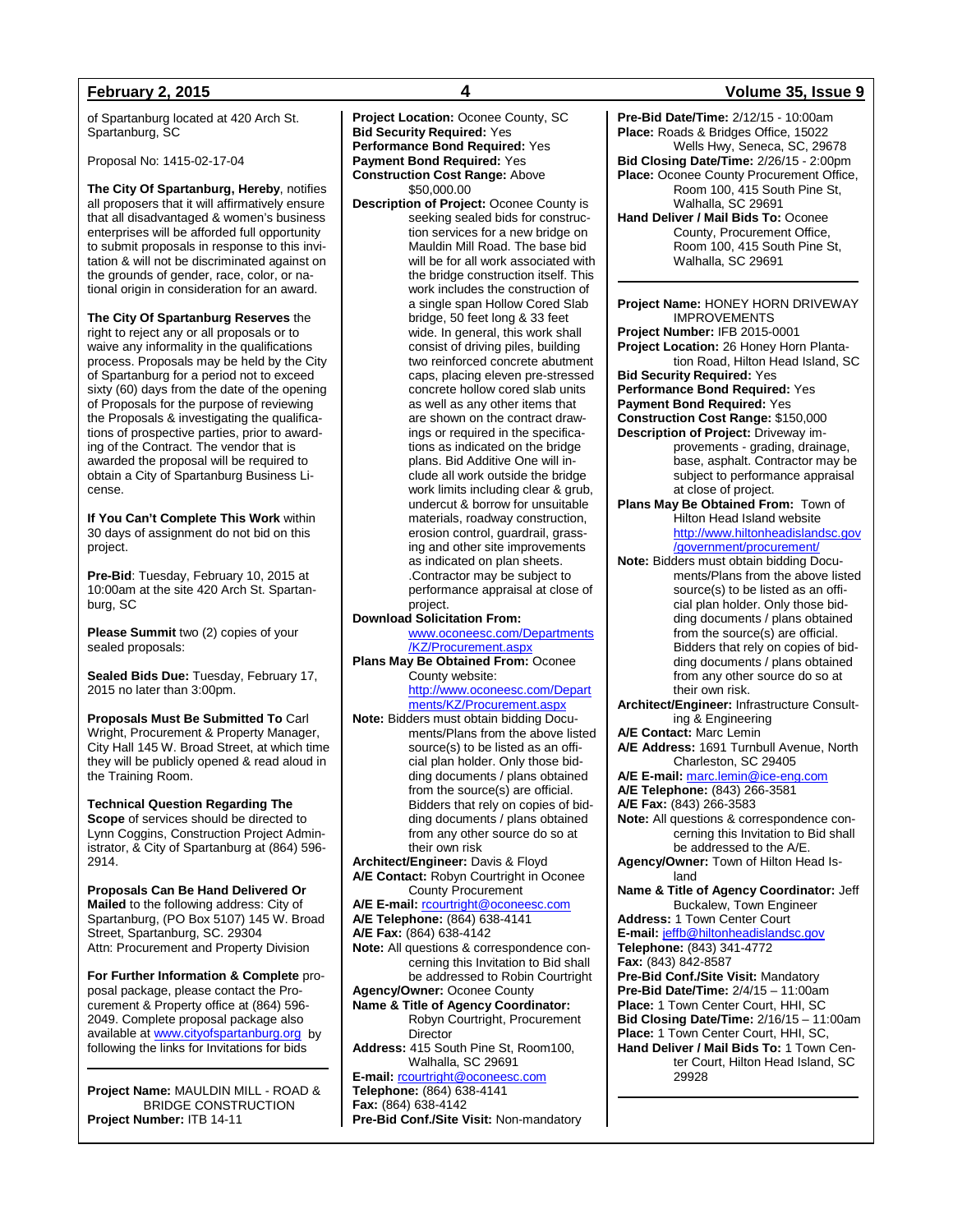of Spartanburg located at 420 Arch St. Spartanburg, SC

Proposal No: 1415-02-17-04

**The City Of Spartanburg, Hereby**, notifies all proposers that it will affirmatively ensure that all disadvantaged & women's business enterprises will be afforded full opportunity to submit proposals in response to this invitation & will not be discriminated against on the grounds of gender, race, color, or national origin in consideration for an award.

**The City Of Spartanburg Reserves** the right to reject any or all proposals or to waive any informality in the qualifications process. Proposals may be held by the City of Spartanburg for a period not to exceed sixty (60) days from the date of the opening of Proposals for the purpose of reviewing the Proposals & investigating the qualifications of prospective parties, prior to awarding of the Contract. The vendor that is awarded the proposal will be required to obtain a City of Spartanburg Business License.

**If You Can't Complete This Work** within 30 days of assignment do not bid on this project.

**Pre-Bid**: Tuesday, February 10, 2015 at 10:00am at the site 420 Arch St. Spartanburg, SC

**Please Summit** two (2) copies of your sealed proposals:

**Sealed Bids Due:** Tuesday, February 17, 2015 no later than 3:00pm.

**Proposals Must Be Submitted To** Carl Wright, Procurement & Property Manager, City Hall 145 W. Broad Street, at which time they will be publicly opened & read aloud in the Training Room.

**Technical Question Regarding The Scope** of services should be directed to Lynn Coggins, Construction Project Administrator, & City of Spartanburg at (864) 596- 2914.

**Proposals Can Be Hand Delivered Or Mailed** to the following address: City of Spartanburg, (PO Box 5107) 145 W. Broad Street, Spartanburg, SC. 29304 Attn: Procurement and Property Division

**For Further Information & Complete** proposal package, please contact the Procurement & Property office at (864) 596- 2049. Complete proposal package also available at [www.cityofspartanburg.org](http://www.cityofspartanburg.org/) by following the links for Invitations for bids

**Project Name:** MAULDIN MILL - ROAD & BRIDGE CONSTRUCTION **Project Number:** ITB 14-11

**Project Location:** Oconee County, SC **Bid Security Required:** Yes **Performance Bond Required:** Yes **Payment Bond Required:** Yes **Construction Cost Range:** Above \$50,000.00 **Description of Project:** Oconee County is seeking sealed bids for construction services for a new bridge on Mauldin Mill Road. The base bid will be for all work associated with the bridge construction itself. This work includes the construction of a single span Hollow Cored Slab bridge, 50 feet long & 33 feet wide. In general, this work shall consist of driving piles, building two reinforced concrete abutment caps, placing eleven pre-stressed concrete hollow cored slab units as well as any other items that are shown on the contract drawings or required in the specifications as indicated on the bridge plans. Bid Additive One will include all work outside the bridge work limits including clear & grub, undercut & borrow for unsuitable materials, roadway construction, erosion control, guardrail, grassing and other site improvements as indicated on plan sheets. .Contractor may be subject to performance appraisal at close of project. **Download Solicitation From:** [www.oconeesc.com/Departments](http://www.oconeesc.com/Departments/KZ/Procurement.aspx) [/KZ/Procurement.aspx](http://www.oconeesc.com/Departments/KZ/Procurement.aspx) **Plans May Be Obtained From:** Oconee County website: [http://www.oconeesc.com/Depart](http://www.oconeesc.com/Departments/KZ/Procurement.aspx) [ments/KZ/Procurement.aspx](http://www.oconeesc.com/Departments/KZ/Procurement.aspx) **Note:** Bidders must obtain bidding Documents/Plans from the above listed source(s) to be listed as an official plan holder. Only those bidding documents / plans obtained from the source(s) are official. Bidders that rely on copies of bidding documents / plans obtained from any other source do so at their own risk **Architect/Engineer:** Davis & Floyd **A/E Contact:** Robyn Courtright in Oconee County Procurement **A/E E-mail:** [rcourtright@oconeesc.com](mailto:rcourtright@oconeesc.com) **A/E Telephone:** (864) 638-4141 **A/E Fax:** (864) 638-4142 **Note:** All questions & correspondence concerning this Invitation to Bid shall

be addressed to Robin Courtright **Agency/Owner:** Oconee County **Name & Title of Agency Coordinator:** Robyn Courtright, Procurement Director **Address:** 415 South Pine St, Room100,

Walhalla, SC 29691

**E-mail:** [rcourtright@oconeesc.com](mailto:rcourtright@oconeesc.com) **Telephone:** (864) 638-4141 **Fax:** (864) 638-4142 **Pre-Bid Conf./Site Visit:** Non-mandatory

## **February 2, 2015 4 Volume 35, Issue 9**

**Pre-Bid Date/Time:** 2/12/15 - 10:00am **Place:** Roads & Bridges Office, 15022 Wells Hwy, Seneca, SC, 29678 **Bid Closing Date/Time:** 2/26/15 - 2:00pm **Place:** Oconee County Procurement Office, Room 100, 415 South Pine St, Walhalla, SC 29691 **Hand Deliver / Mail Bids To:** Oconee County, Procurement Office, Room 100, 415 South Pine St, Walhalla, SC 29691

**Project Name:** HONEY HORN DRIVEWAY IMPROVEMENTS **Project Number:** IFB 2015-0001 **Project Location:** 26 Honey Horn Plantation Road, Hilton Head Island, SC **Bid Security Required:** Yes **Performance Bond Required:** Yes **Payment Bond Required:** Yes **Construction Cost Range:** \$150,000 **Description of Project:** Driveway improvements - grading, drainage, base, asphalt. Contractor may be subject to performance appraisal at close of project. **Plans May Be Obtained From:** Town of Hilton Head Island website [http://www.hiltonheadislandsc.gov](http://www.hiltonheadislandsc.gov/government/procurement/) [/government/procurement/](http://www.hiltonheadislandsc.gov/government/procurement/) **Note:** Bidders must obtain bidding Documents/Plans from the above listed source(s) to be listed as an official plan holder. Only those bidding documents / plans obtained from the source(s) are official. Bidders that rely on copies of bidding documents / plans obtained from any other source do so at their own risk. **Architect/Engineer:** Infrastructure Consulting & Engineering **A/E Contact:** Marc Lemin **A/E Address:** 1691 Turnbull Avenue, North Charleston, SC 29405 **A/E E-mail:** [marc.lemin@ice-eng.com](mailto:marc.lemin@ice-eng.com) **A/E Telephone:** (843) 266-3581 **A/E Fax:** (843) 266-3583 **Note:** All questions & correspondence concerning this Invitation to Bid shall be addressed to the A/E. **Agency/Owner:** Town of Hilton Head Island **Name & Title of Agency Coordinator:** Jeff Buckalew, Town Engineer **Address:** 1 Town Center Court **E-mail:** [jeffb@hiltonheadislandsc.gov](mailto:jeffb@hiltonheadislandsc.gov) **Telephone:** (843) 341-4772 **Fax:** (843) 842-8587 **Pre-Bid Conf./Site Visit:** Mandatory **Pre-Bid Date/Time:** 2/4/15 – 11:00am **Place:** 1 Town Center Court, HHI, SC **Bid Closing Date/Time:** 2/16/15 – 11:00am **Place:** 1 Town Center Court, HHI, SC, **Hand Deliver / Mail Bids To:** 1 Town Center Court, Hilton Head Island, SC 29928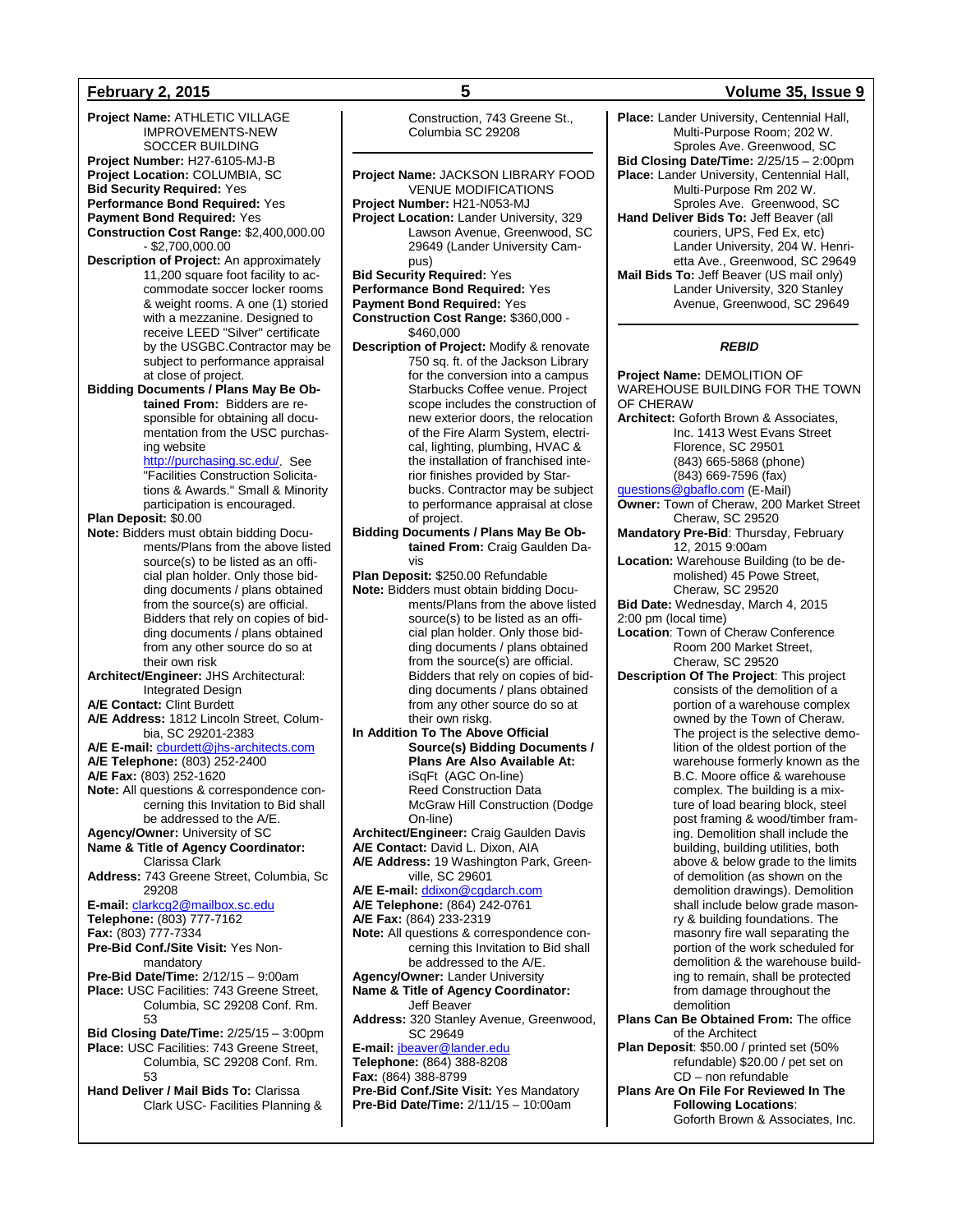**Project Name:** ATHLETIC VILLAGE IMPROVEMENTS-NEW SOCCER BUILDING **Project Number:** H27-6105-MJ-B **Project Location:** COLUMBIA, SC **Bid Security Required:** Yes **Performance Bond Required:** Yes **Payment Bond Required:** Yes **Construction Cost Range:** \$2,400,000.00  $-$ \$2,700,000.00 **Description of Project:** An approximately 11,200 square foot facility to accommodate soccer locker rooms & weight rooms. A one (1) storied with a mezzanine. Designed to receive LEED "Silver" certificate by the USGBC.Contractor may be subject to performance appraisal at close of project. **Bidding Documents / Plans May Be Obtained From:** Bidders are responsible for obtaining all documentation from the USC purchasing website [http://purchasing.sc.edu/.](http://purchasing.sc.edu/) See "Facilities Construction Solicitations & Awards." Small & Minority participation is encouraged. **Plan Deposit:** \$0.00 **Note:** Bidders must obtain bidding Documents/Plans from the above listed source(s) to be listed as an official plan holder. Only those bidding documents / plans obtained from the source(s) are official. Bidders that rely on copies of bidding documents / plans obtained from any other source do so at their own risk **Architect/Engineer:** JHS Architectural: Integrated Design **A/E Contact:** Clint Burdett **A/E Address:** 1812 Lincoln Street, Columbia, SC 29201-2383 **A/E E-mail:** [cburdett@jhs-architects.com](mailto:cburdett@jhs-architects.com) **A/E Telephone:** (803) 252-2400 **A/E Fax:** (803) 252-1620 **Note:** All questions & correspondence concerning this Invitation to Bid shall be addressed to the A/E. **Agency/Owner:** University of SC **Name & Title of Agency Coordinator:** Clarissa Clark **Address:** 743 Greene Street, Columbia, Sc 29208 **E-mail:** [clarkcg2@mailbox.sc.edu](mailto:clarkcg2@mailbox.sc.edu) **Telephone:** (803) 777-7162 **Fax:** (803) 777-7334 **Pre-Bid Conf./Site Visit:** Yes Nonmandatory **Pre-Bid Date/Time:** 2/12/15 – 9:00am **Place:** USC Facilities: 743 Greene Street, Columbia, SC 29208 Conf. Rm. 53 **Bid Closing Date/Time:** 2/25/15 – 3:00pm **Place:** USC Facilities: 743 Greene Street, Columbia, SC 29208 Conf. Rm. 53 **Hand Deliver / Mail Bids To:** Clarissa Clark USC- Facilities Planning &

Construction, 743 Greene St., Columbia SC 29208

**Project Name:** JACKSON LIBRARY FOOD

VENUE MODIFICATIONS **Project Number:** H21-N053-MJ **Project Location:** Lander University, 329 Lawson Avenue, Greenwood, SC 29649 (Lander University Campus) **Bid Security Required:** Yes **Performance Bond Required:** Yes **Payment Bond Required:** Yes **Construction Cost Range:** \$360,000 - \$460,000 **Description of Project:** Modify & renovate 750 sq. ft. of the Jackson Library for the conversion into a campus Starbucks Coffee venue. Project scope includes the construction of new exterior doors, the relocation of the Fire Alarm System, electrical, lighting, plumbing, HVAC & the installation of franchised interior finishes provided by Starbucks. Contractor may be subject to performance appraisal at close of project. **Bidding Documents / Plans May Be Obtained From:** Craig Gaulden Davis **Plan Deposit:** \$250.00 Refundable **Note:** Bidders must obtain bidding Documents/Plans from the above listed source(s) to be listed as an official plan holder. Only those bidding documents / plans obtained from the source(s) are official. Bidders that rely on copies of bidding documents / plans obtained from any other source do so at their own riskg. **In Addition To The Above Official Source(s) Bidding Documents / Plans Are Also Available At:** iSqFt (AGC On-line) Reed Construction Data McGraw Hill Construction (Dodge On-line) **Architect/Engineer:** Craig Gaulden Davis **A/E Contact:** David L. Dixon, AIA **A/E Address:** 19 Washington Park, Greenville, SC 29601 **A/E E-mail:** [ddixon@cgdarch.com](mailto:ddixon@cgdarch.com) **A/E Telephone:** (864) 242-0761 **A/E Fax:** (864) 233-2319 **Note:** All questions & correspondence concerning this Invitation to Bid shall be addressed to the A/E. **Agency/Owner:** Lander University **Name & Title of Agency Coordinator:** Jeff Beaver **Address:** 320 Stanley Avenue, Greenwood, SC 29649 **E-mail:** [jbeaver@lander.edu](mailto:jbeaver@lander.edu) **Telephone:** (864) 388-8208 **Fax:** (864) 388-8799 **Pre-Bid Conf./Site Visit:** Yes Mandatory **Pre-Bid Date/Time:** 2/11/15 – 10:00am

## **February 2, 2015 5 Volume 35, Issue 9**

**Place:** Lander University, Centennial Hall, Multi-Purpose Room; 202 W. Sproles Ave. Greenwood, SC **Bid Closing Date/Time:** 2/25/15 – 2:00pm **Place:** Lander University, Centennial Hall, Multi-Purpose Rm 202 W. Sproles Ave. Greenwood, SC **Hand Deliver Bids To:** Jeff Beaver (all couriers, UPS, Fed Ex, etc) Lander University, 204 W. Henrietta Ave., Greenwood, SC 29649 **Mail Bids To:** Jeff Beaver (US mail only) Lander University, 320 Stanley Avenue, Greenwood, SC 29649

## *REBID*

**Project Name:** DEMOLITION OF WAREHOUSE BUILDING FOR THE TOWN OF CHERAW **Architect:** Goforth Brown & Associates, Inc. 1413 West Evans Street Florence, SC 29501 (843) 665-5868 (phone) (843) 669-7596 (fax) [questions@gbaflo.com](mailto:questions@gbaflo.com) (E-Mail) **Owner:** Town of Cheraw, 200 Market Street Cheraw, SC 29520 **Mandatory Pre-Bid**: Thursday, February 12, 2015 9:00am **Location:** Warehouse Building (to be demolished) 45 Powe Street, Cheraw, SC 29520 **Bid Date:** Wednesday, March 4, 2015 2:00 pm (local time) **Location**: Town of Cheraw Conference Room 200 Market Street, Cheraw, SC 29520 **Description Of The Project**: This project consists of the demolition of a portion of a warehouse complex owned by the Town of Cheraw. The project is the selective demolition of the oldest portion of the warehouse formerly known as the B.C. Moore office & warehouse complex. The building is a mixture of load bearing block, steel post framing & wood/timber framing. Demolition shall include the building, building utilities, both above & below grade to the limits of demolition (as shown on the demolition drawings). Demolition shall include below grade masonry & building foundations. The masonry fire wall separating the portion of the work scheduled for demolition & the warehouse building to remain, shall be protected from damage throughout the demolition **Plans Can Be Obtained From:** The office of the Architect **Plan Deposit**: \$50.00 / printed set (50% refundable) \$20.00 / pet set on

CD – non refundable **Plans Are On File For Reviewed In The Following Locations**:

Goforth Brown & Associates, Inc.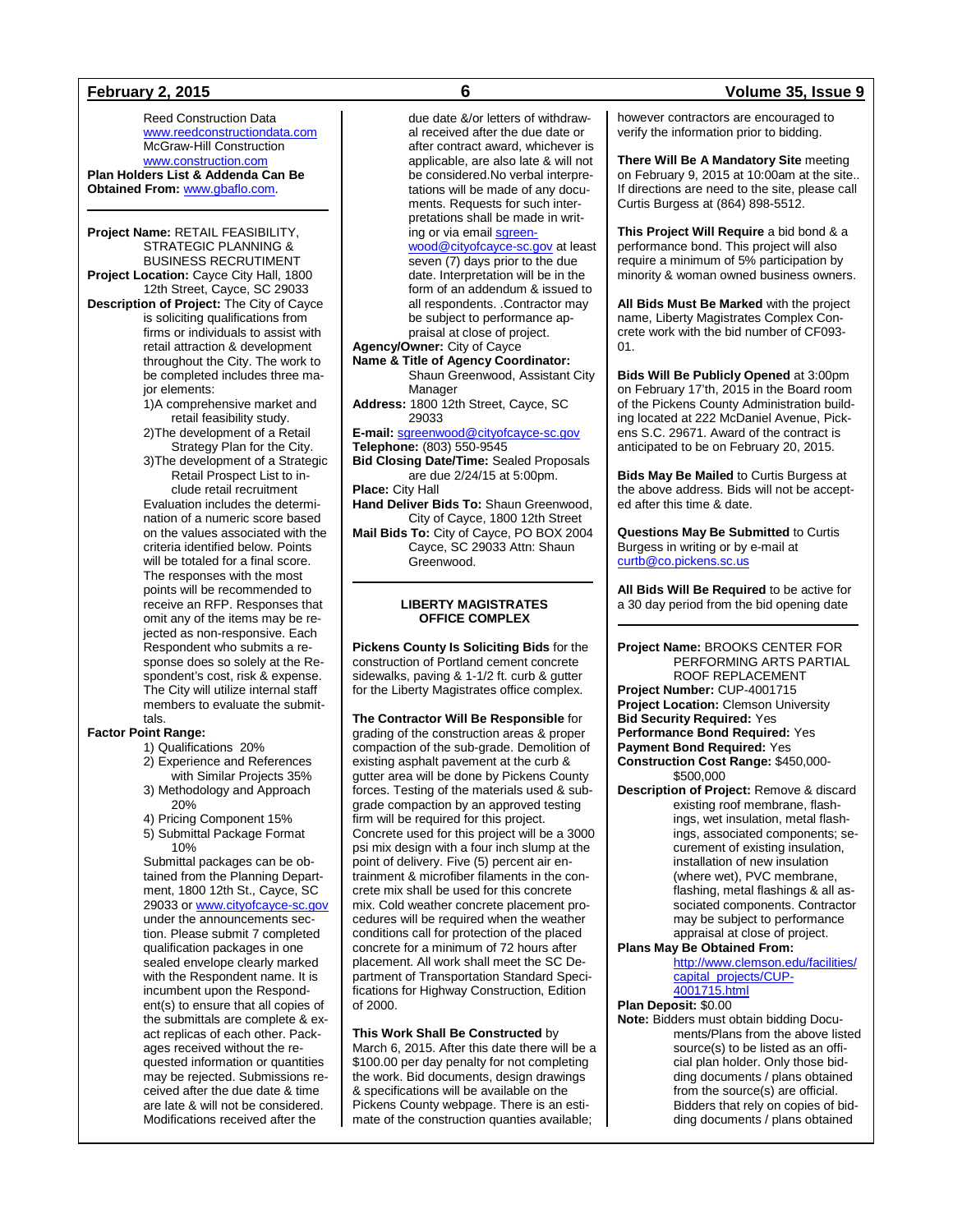Reed Construction Data [www.reedconstructiondata.com](http://www.reedconstructiondata.com/) McGraw-Hill Construction [www.construction.com](http://www.construction.com/)

**Plan Holders List & Addenda Can Be Obtained From:** [www.gbaflo.com.](http://www.gbaflo.com/)

**Project Name:** RETAIL FEASIBILITY, STRATEGIC PLANNING & BUSINESS RECRUTIMENT **Project Location:** Cayce City Hall, 1800

12th Street, Cayce, SC 29033 **Description of Project:** The City of Cayce is soliciting qualifications from firms or individuals to assist with retail attraction & development throughout the City. The work to be completed includes three ma-

jor elements: 1)A comprehensive market and retail feasibility study.

2)The development of a Retail Strategy Plan for the City.

3)The development of a Strategic Retail Prospect List to in-

clude retail recruitment Evaluation includes the determination of a numeric score based on the values associated with the criteria identified below. Points will be totaled for a final score. The responses with the most points will be recommended to receive an RFP. Responses that omit any of the items may be rejected as non-responsive. Each Respondent who submits a response does so solely at the Respondent's cost, risk & expense. The City will utilize internal staff members to evaluate the submittals.

## **Factor Point Range:**

### 1) Qualifications 20%

2) Experience and References

- with Similar Projects 35% 3) Methodology and Approach
- 20%
- 4) Pricing Component 15%
- 5) Submittal Package Format 10%

Submittal packages can be obtained from the Planning Department, 1800 12th St., Cayce, SC 29033 or [www.cityofcayce-sc.gov](http://www.cityofcayce-sc.gov/) under the announcements section. Please submit 7 completed qualification packages in one sealed envelope clearly marked with the Respondent name. It is incumbent upon the Respondent(s) to ensure that all copies of the submittals are complete & exact replicas of each other. Packages received without the requested information or quantities may be rejected. Submissions received after the due date & time are late & will not be considered. Modifications received after the

due date &/or letters of withdrawal received after the due date or after contract award, whichever is applicable, are also late & will not be considered.No verbal interpretations will be made of any documents. Requests for such interpretations shall be made in writing or via emai[l sgreen](mailto:sgreenwood@cityofcayce-sc.gov)[wood@cityofcayce-sc.gov](mailto:sgreenwood@cityofcayce-sc.gov) at least seven (7) days prior to the due date. Interpretation will be in the form of an addendum & issued to all respondents. .Contractor may be subject to performance appraisal at close of project. **Agency/Owner:** City of Cayce **Name & Title of Agency Coordinator:**

Shaun Greenwood, Assistant City Manager **Address:** 1800 12th Street, Cayce, SC

29033 **E-mail:** [sgreenwood@cityofcayce-sc.gov](mailto:sgreenwood@cityofcayce-sc.gov)

**Telephone:** (803) 550-9545 **Bid Closing Date/Time:** Sealed Proposals

are due 2/24/15 at 5:00pm. **Place:** City Hall

**Hand Deliver Bids To:** Shaun Greenwood, City of Cayce, 1800 12th Street **Mail Bids To:** City of Cayce, PO BOX 2004

Cayce, SC 29033 Attn: Shaun Greenwood.

### **LIBERTY MAGISTRATES OFFICE COMPLEX**

**Pickens County Is Soliciting Bids** for the construction of Portland cement concrete sidewalks, paving & 1-1/2 ft. curb & gutter for the Liberty Magistrates office complex.

**The Contractor Will Be Responsible** for grading of the construction areas & proper compaction of the sub-grade. Demolition of existing asphalt pavement at the curb & gutter area will be done by Pickens County forces. Testing of the materials used & subgrade compaction by an approved testing firm will be required for this project. Concrete used for this project will be a 3000 psi mix design with a four inch slump at the point of delivery. Five (5) percent air entrainment & microfiber filaments in the concrete mix shall be used for this concrete mix. Cold weather concrete placement procedures will be required when the weather conditions call for protection of the placed concrete for a minimum of 72 hours after placement. All work shall meet the SC Department of Transportation Standard Specifications for Highway Construction, Edition of 2000.

### **This Work Shall Be Constructed** by March 6, 2015. After this date there will be a

\$100.00 per day penalty for not completing the work. Bid documents, design drawings & specifications will be available on the Pickens County webpage. There is an estimate of the construction quanties available;

**February 2, 2015 6 Volume 35, Issue 9**

however contractors are encouraged to verify the information prior to bidding.

**There Will Be A Mandatory Site** meeting on February 9, 2015 at 10:00am at the site.. If directions are need to the site, please call Curtis Burgess at (864) 898-5512.

**This Project Will Require** a bid bond & a performance bond. This project will also require a minimum of 5% participation by minority & woman owned business owners.

**All Bids Must Be Marked** with the project name, Liberty Magistrates Complex Concrete work with the bid number of CF093- 01.

**Bids Will Be Publicly Opened** at 3:00pm on February 17'th, 2015 in the Board room of the Pickens County Administration building located at 222 McDaniel Avenue, Pickens S.C. 29671. Award of the contract is anticipated to be on February 20, 2015.

**Bids May Be Mailed** to Curtis Burgess at the above address. Bids will not be accepted after this time & date.

**Questions May Be Submitted** to Curtis Burgess in writing or by e-mail at [curtb@co.pickens.sc.us](mailto:curtb@co.pickens.sc.us)

**All Bids Will Be Required** to be active for a 30 day period from the bid opening date

**Project Name:** BROOKS CENTER FOR PERFORMING ARTS PARTIAL ROOF REPLACEMENT **Project Number:** CUP-4001715 **Project Location:** Clemson University **Bid Security Required:** Yes **Performance Bond Required:** Yes **Payment Bond Required:** Yes **Construction Cost Range:** \$450,000- \$500,000

**Description of Project:** Remove & discard existing roof membrane, flashings, wet insulation, metal flashings, associated components; securement of existing insulation, installation of new insulation (where wet), PVC membrane, flashing, metal flashings & all associated components. Contractor may be subject to performance appraisal at close of project.

## **Plans May Be Obtained From:**

[http://www.clemson.edu/facilities/](http://www.clemson.edu/facilities/capital_projects/CUP-4001715.html) [capital\\_projects/CUP-](http://www.clemson.edu/facilities/capital_projects/CUP-4001715.html)[4001715.html](http://www.clemson.edu/facilities/capital_projects/CUP-4001715.html)

### **Plan Deposit:** \$0.00

**Note:** Bidders must obtain bidding Documents/Plans from the above listed source(s) to be listed as an official plan holder. Only those bidding documents / plans obtained from the source(s) are official. Bidders that rely on copies of bidding documents / plans obtained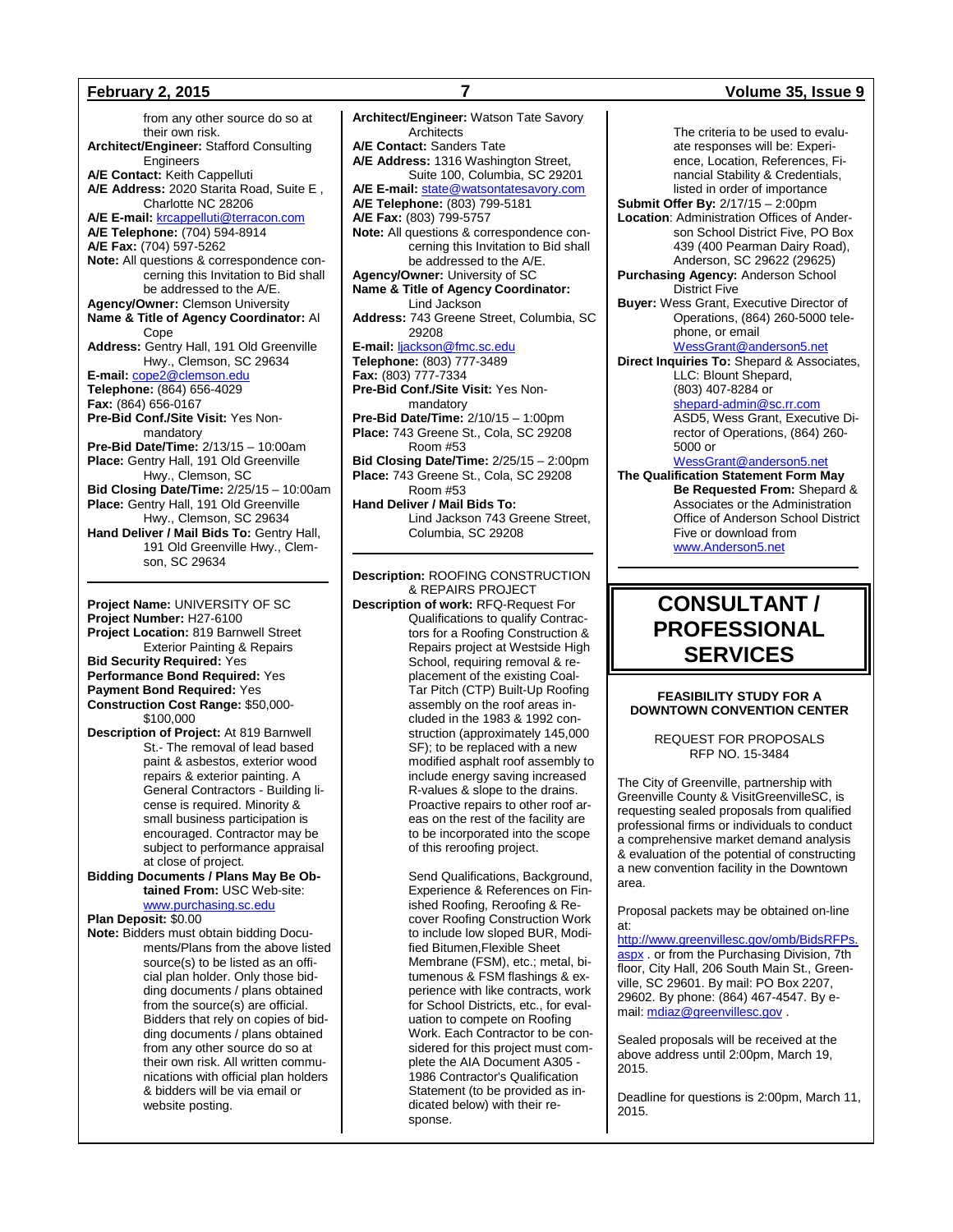from any other source do so at their own risk. **Architect/Engineer:** Stafford Consulting **Engineers A/E Contact:** Keith Cappelluti **A/E Address:** 2020 Starita Road, Suite E , Charlotte NC 28206 **A/E E-mail:** [krcappelluti@terracon.com](mailto:krcappelluti@terracon.com) **A/E Telephone:** (704) 594-8914 **A/E Fax:** (704) 597-5262 **Note:** All questions & correspondence concerning this Invitation to Bid shall be addressed to the A/E. **Agency/Owner:** Clemson University **Name & Title of Agency Coordinator:** Al Cope **Address:** Gentry Hall, 191 Old Greenville Hwy., Clemson, SC 29634 **E-mail:** [cope2@clemson.edu](mailto:cope2@clemson.edu) **Telephone:** (864) 656-4029 **Fax:** (864) 656-0167 **Pre-Bid Conf./Site Visit:** Yes Nonmandatory **Pre-Bid Date/Time:** 2/13/15 – 10:00am **Place:** Gentry Hall, 191 Old Greenville Hwy., Clemson, SC **Bid Closing Date/Time:** 2/25/15 – 10:00am **Place:** Gentry Hall, 191 Old Greenville Hwy., Clemson, SC 29634 **Hand Deliver / Mail Bids To:** Gentry Hall, 191 Old Greenville Hwy., Clemson, SC 29634

**Project Name:** UNIVERSITY OF SC **Project Number:** H27-6100 **Project Location:** 819 Barnwell Street Exterior Painting & Repairs **Bid Security Required:** Yes **Performance Bond Required:** Yes **Payment Bond Required:** Yes **Construction Cost Range:** \$50,000- \$100,000 **Description of Project:** At 819 Barnwell

St.- The removal of lead based paint & asbestos, exterior wood repairs & exterior painting. A General Contractors - Building license is required. Minority & small business participation is encouraged. Contractor may be subject to performance appraisal at close of project.

**Bidding Documents / Plans May Be Obtained From:** USC Web-site: [www.purchasing.sc.edu](http://www.purchasing.sc.edu/)

### **Plan Deposit:** \$0.00

**Note:** Bidders must obtain bidding Documents/Plans from the above listed source(s) to be listed as an official plan holder. Only those bidding documents / plans obtained from the source(s) are official. Bidders that rely on copies of bidding documents / plans obtained from any other source do so at their own risk. All written communications with official plan holders & bidders will be via email or website posting.

**Architects A/E Contact:** Sanders Tate **A/E Address:** 1316 Washington Street, Suite 100, Columbia, SC 29201 **A/E E-mail:** [state@watsontatesavory.com](mailto:state@watsontatesavory.com) **A/E Telephone:** (803) 799-5181 **A/E Fax:** (803) 799-5757 **Note:** All questions & correspondence concerning this Invitation to Bid shall be addressed to the A/E. **Agency/Owner:** University of SC **Name & Title of Agency Coordinator:** Lind Jackson **Address:** 743 Greene Street, Columbia, SC 29208 **E-mail:** [ljackson@fmc.sc.edu](mailto:ljackson@fmc.sc.edu) **Telephone:** (803) 777-3489 **Fax:** (803) 777-7334 **Pre-Bid Conf./Site Visit:** Yes Nonmandatory **Pre-Bid Date/Time:** 2/10/15 – 1:00pm **Place:** 743 Greene St., Cola, SC 29208 Room #53 **Bid Closing Date/Time:** 2/25/15 – 2:00pm **Place:** 743 Greene St., Cola, SC 29208 Room #53 **Hand Deliver / Mail Bids To:** Lind Jackson 743 Greene Street, Columbia, SC 29208

**Architect/Engineer:** Watson Tate Savory

**Description:** ROOFING CONSTRUCTION & REPAIRS PROJECT **Description of work:** RFQ-Request For Qualifications to qualify Contractors for a Roofing Construction & Repairs project at Westside High School, requiring removal & replacement of the existing Coal-Tar Pitch (CTP) Built-Up Roofing assembly on the roof areas included in the 1983 & 1992 construction (approximately 145,000 SF); to be replaced with a new modified asphalt roof assembly to include energy saving increased R-values & slope to the drains. Proactive repairs to other roof areas on the rest of the facility are to be incorporated into the scope

of this reroofing project.

Send Qualifications, Background, Experience & References on Finished Roofing, Reroofing & Recover Roofing Construction Work to include low sloped BUR, Modified Bitumen,Flexible Sheet Membrane (FSM), etc.; metal, bitumenous & FSM flashings & experience with like contracts, work for School Districts, etc., for evaluation to compete on Roofing Work. Each Contractor to be considered for this project must complete the AIA Document A305 - 1986 Contractor's Qualification Statement (to be provided as indicated below) with their response.

ate responses will be: Experience, Location, References, Financial Stability & Credentials, listed in order of importance **Submit Offer By:** 2/17/15 – 2:00pm **Location**: Administration Offices of Anderson School District Five, PO Box 439 (400 Pearman Dairy Road), Anderson, SC 29622 (29625) **Purchasing Agency:** Anderson School District Five **Buyer:** Wess Grant, Executive Director of Operations, (864) 260-5000 telephone, or email [WessGrant@anderson5.net](mailto:WessGrant@anderson5.net) **Direct Inquiries To:** Shepard & Associates, LLC: Blount Shepard, (803) 407-8284 or [shepard-admin@sc.rr.com](mailto:shepard-admin@sc.rr.com) ASD5, Wess Grant, Executive Director of Operations, (864) 260- 5000 or [WessGrant@anderson5.net](mailto:WessGrant@anderson5.net) **The Qualification Statement Form May Be Requested From:** Shepard & Associates or the Administration Office of Anderson School District Five or download from

[www.Anderson5.net](http://www.anderson5.net/)

## **CONSULTANT / PROFESSIONAL SERVICES**

## **FEASIBILITY STUDY FOR A DOWNTOWN CONVENTION CENTER**

REQUEST FOR PROPOSALS RFP NO. 15-3484

The City of Greenville, partnership with Greenville County & VisitGreenvilleSC, is requesting sealed proposals from qualified professional firms or individuals to conduct a comprehensive market demand analysis & evaluation of the potential of constructing a new convention facility in the Downtown area.

Proposal packets may be obtained on-line at:

[http://www.greenvillesc.gov/omb/BidsRFPs.](http://www.greenvillesc.gov/omb/BidsRFPs.aspx) [aspx](http://www.greenvillesc.gov/omb/BidsRFPs.aspx) . or from the Purchasing Division, 7th floor, City Hall, 206 South Main St., Greenville, SC 29601. By mail: PO Box 2207, 29602. By phone: (864) 467-4547. By email: [mdiaz@greenvillesc.gov](mailto:mdiaz@greenvillesc.gov) .

Sealed proposals will be received at the above address until 2:00pm, March 19, 2015.

Deadline for questions is 2:00pm, March 11, 2015.

## **February 2, 2015 7 Volume 35, Issue 9**

The criteria to be used to evalu-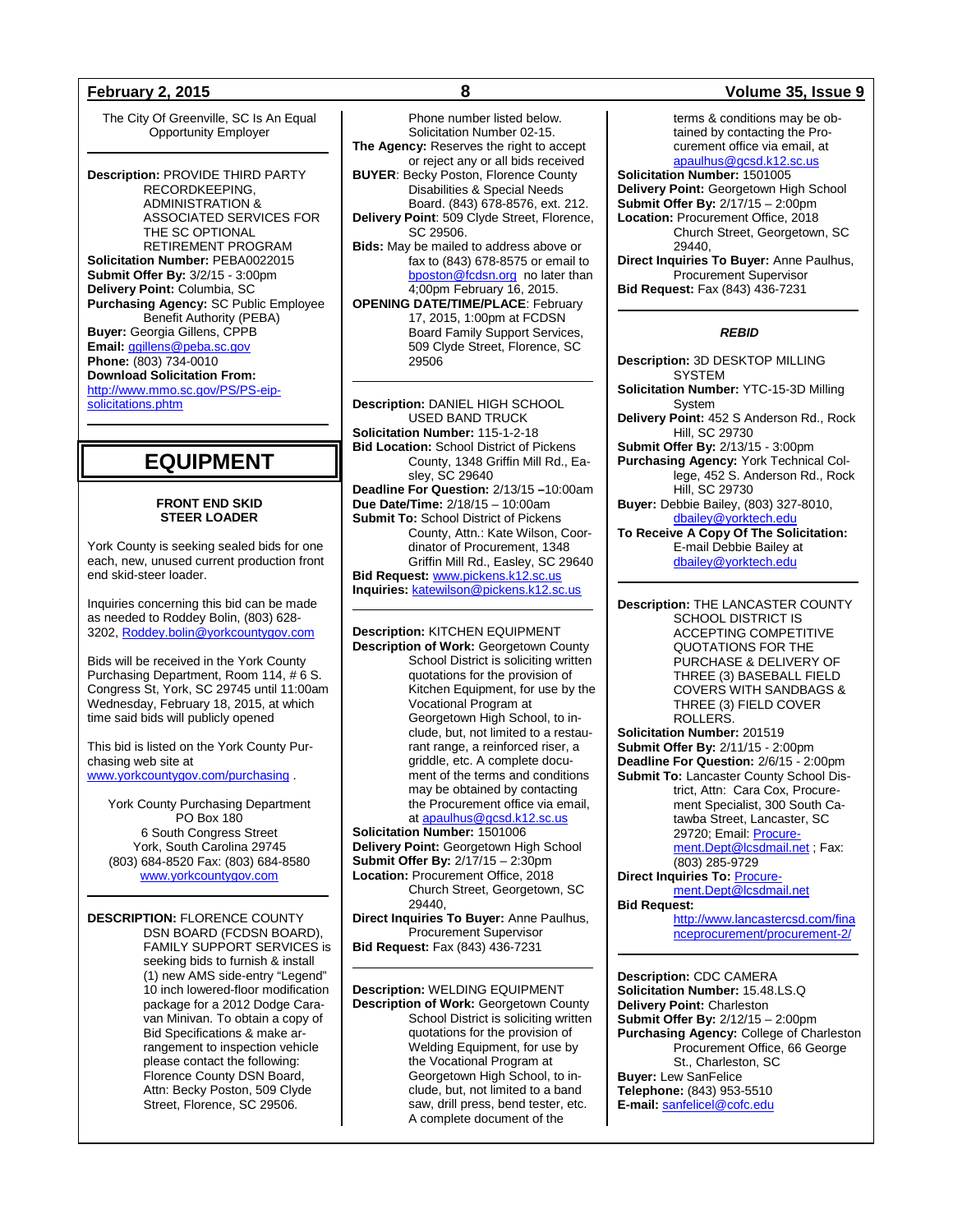The City Of Greenville, SC Is An Equal Opportunity Employer

**Description:** PROVIDE THIRD PARTY RECORDKEEPING, ADMINISTRATION & ASSOCIATED SERVICES FOR THE SC OPTIONAL RETIREMENT PROGRAM **Solicitation Number:** PEBA0022015 **Submit Offer By:** 3/2/15 - 3:00pm **Delivery Point:** Columbia, SC **Purchasing Agency:** SC Public Employee Benefit Authority (PEBA) **Buyer:** Georgia Gillens, CPPB **Email:** [ggillens@peba.sc.gov](mailto:ggillens@peba.sc.gov) **Phone:** (803) 734-0010 **Download Solicitation From:** [http://www.mmo.sc.gov/PS/PS-eip](http://www.mmo.sc.gov/PS/PS-eip-solicitations.phtm)[solicitations.phtm](http://www.mmo.sc.gov/PS/PS-eip-solicitations.phtm)

## **EQUIPMENT**

## **FRONT END SKID STEER LOADER**

York County is seeking sealed bids for one each, new, unused current production front end skid-steer loader.

Inquiries concerning this bid can be made as needed to Roddey Bolin, (803) 628- 3202[, Roddey.bolin@yorkcountygov.com](mailto:Roddey.bolin@yorkcountygov.com)

Bids will be received in the York County Purchasing Department, Room 114, # 6 S. Congress St, York, SC 29745 until 11:00am Wednesday, February 18, 2015, at which time said bids will publicly opened

This bid is listed on the York County Purchasing web site at [www.yorkcountygov.com/purchasing](http://www.yorkcountygov.com/purchasing) .

York County Purchasing Department PO Box 180 6 South Congress Street York, South Carolina 29745 (803) 684-8520 Fax: (803) 684-8580 [www.yorkcountygov.com](http://www.yorkcountygov.com/)

**DESCRIPTION:** FLORENCE COUNTY DSN BOARD (FCDSN BOARD), FAMILY SUPPORT SERVICES is seeking bids to furnish & install (1) new AMS side-entry "Legend" 10 inch lowered-floor modification package for a 2012 Dodge Caravan Minivan. To obtain a copy of Bid Specifications & make arrangement to inspection vehicle please contact the following: Florence County DSN Board, Attn: Becky Poston, 509 Clyde Street, Florence, SC 29506.

Phone number listed below. Solicitation Number 02-15. **The Agency:** Reserves the right to accept or reject any or all bids received **BUYER**: Becky Poston, Florence County Disabilities & Special Needs Board. (843) 678-8576, ext. 212. **Delivery Point**: 509 Clyde Street, Florence, SC 29506. **Bids:** May be mailed to address above or fax to (843) 678-8575 or email to [bposton@fcdsn.org](mailto:bposton@fcdsn.org) no later than 4;00pm February 16, 2015. **OPENING DATE/TIME/PLACE**: February 17, 2015, 1:00pm at FCDSN Board Family Support Services, 509 Clyde Street, Florence, SC 29506

**Description:** DANIEL HIGH SCHOOL USED BAND TRUCK **Solicitation Number:** 115-1-2-18 **Bid Location:** School District of Pickens County, 1348 Griffin Mill Rd., Easley, SC 29640 **Deadline For Question:** 2/13/15 **–**10:00am **Due Date/Time:** 2/18/15 – 10:00am **Submit To:** School District of Pickens County, Attn.: Kate Wilson, Coordinator of Procurement, 1348 Griffin Mill Rd., Easley, SC 29640 **Bid Request:** [www.pickens.k12.sc.us](http://www.pickens.k12.sc.us/) **Inquiries:** [katewilson@pickens.k12.sc.us](mailto:katewilson@pickens.k12.sc.us)

**Description:** KITCHEN EQUIPMENT **Description of Work:** Georgetown County School District is soliciting written quotations for the provision of Kitchen Equipment, for use by the Vocational Program at Georgetown High School, to include, but, not limited to a restaurant range, a reinforced riser, a griddle, etc. A complete document of the terms and conditions may be obtained by contacting the Procurement office via email, a[t apaulhus@gcsd.k12.sc.us](mailto:apaulhus@gcsd.k12.sc.us) **Solicitation Number:** 1501006

**Delivery Point:** Georgetown High School **Submit Offer By:** 2/17/15 – 2:30pm **Location:** Procurement Office, 2018

Church Street, Georgetown, SC 29440,

**Direct Inquiries To Buyer:** Anne Paulhus, Procurement Supervisor **Bid Request:** Fax (843) 436-7231

**Description:** WELDING EQUIPMENT **Description of Work:** Georgetown County School District is soliciting written quotations for the provision of Welding Equipment, for use by the Vocational Program at Georgetown High School, to include, but, not limited to a band saw, drill press, bend tester, etc. A complete document of the

## **February 2, 2015 8 Volume 35, Issue 9**

terms & conditions may be obtained by contacting the Procurement office via email, at [apaulhus@gcsd.k12.sc.us](mailto:apaulhus@gcsd.k12.sc.us)

**Solicitation Number:** 1501005 **Delivery Point:** Georgetown High School **Submit Offer By:** 2/17/15 – 2:00pm **Location:** Procurement Office, 2018 Church Street, Georgetown, SC 29440,

**Direct Inquiries To Buyer:** Anne Paulhus, Procurement Supervisor **Bid Request:** Fax (843) 436-7231

## *REBID*

- **Description:** 3D DESKTOP MILLING SYSTEM
- **Solicitation Number:** YTC-15-3D Milling System
- **Delivery Point:** 452 S Anderson Rd., Rock Hill, SC 29730
- **Submit Offer By:** 2/13/15 3:00pm
- **Purchasing Agency:** York Technical College, 452 S. Anderson Rd., Rock Hill, SC 29730

**Buyer:** Debbie Bailey, (803) 327-8010, [dbailey@yorktech.edu](mailto:dbailey@yorktech.edu)

**To Receive A Copy Of The Solicitation:** E-mail Debbie Bailey at [dbailey@yorktech.edu](mailto:dbailey@yorktech.edu)

**Description:** THE LANCASTER COUNTY SCHOOL DISTRICT IS ACCEPTING COMPETITIVE QUOTATIONS FOR THE PURCHASE & DELIVERY OF THREE (3) BASEBALL FIELD COVERS WITH SANDBAGS & THREE (3) FIELD COVER ROLLERS. **Solicitation Number:** 201519

**Submit Offer By:** 2/11/15 - 2:00pm **Deadline For Question:** 2/6/15 - 2:00pm **Submit To:** Lancaster County School District, Attn: Cara Cox, Procurement Specialist, 300 South Catawba Street, Lancaster, SC 29720; Email: [Procure](mailto:Procurement.Dept@lcsdmail.net)[ment.Dept@lcsdmail.net](mailto:Procurement.Dept@lcsdmail.net) ; Fax: (803) 285-9729 **Direct Inquiries To: [Procure-](mailto:Procurement.Dept@lcsdmail.net)**

[ment.Dept@lcsdmail.net](mailto:Procurement.Dept@lcsdmail.net) **Bid Request:**

> [http://www.lancastercsd.com/fina](http://www.lancastercsd.com/financeprocurement/procurement-2/) [nceprocurement/procurement-2/](http://www.lancastercsd.com/financeprocurement/procurement-2/)

**Description:** CDC CAMERA **Solicitation Number:** 15.48.LS.Q **Delivery Point:** Charleston **Submit Offer By:** 2/12/15 – 2:00pm **Purchasing Agency:** College of Charleston Procurement Office, 66 George St., Charleston, SC **Buyer:** Lew SanFelice **Telephone:** (843) 953-5510 **E-mail:** [sanfelicel@cofc.edu](mailto:SanfeliceL@cofc.edu)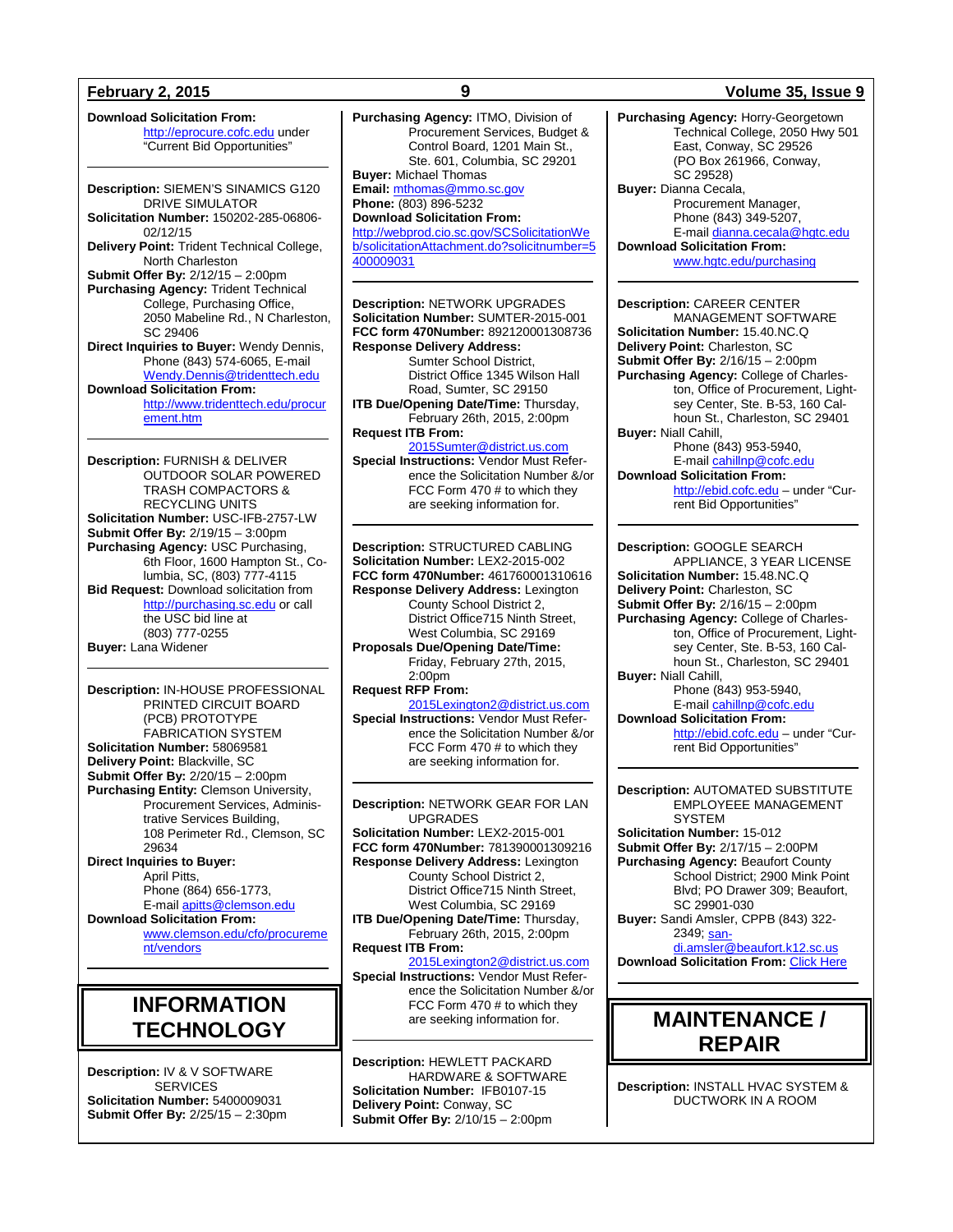**Download Solicitation From:** [http://eprocure.cofc.edu](http://eprocure.cofc.edu/) under "Current Bid Opportunities"

**Description:** SIEMEN'S SINAMICS G120 DRIVE SIMULATOR **Solicitation Number:** 150202-285-06806- 02/12/15 **Delivery Point:** Trident Technical College, North Charleston **Submit Offer By:** 2/12/15 – 2:00pm **Purchasing Agency:** Trident Technical College, Purchasing Office, 2050 Mabeline Rd., N Charleston, SC 29406 **Direct Inquiries to Buyer:** Wendy Dennis, Phone (843) 574-6065, E-mail [Wendy.Dennis@tridenttech.edu](mailto:Wendy.Dennis@tridenttech.edu) **Download Solicitation From:** [http://www.tridenttech.edu/procur](http://www.tridenttech.edu/procurement.htm) [ement.htm](http://www.tridenttech.edu/procurement.htm)

**Description:** FURNISH & DELIVER OUTDOOR SOLAR POWERED TRASH COMPACTORS & RECYCLING UNITS **Solicitation Number:** USC-IFB-2757-LW **Submit Offer By:** 2/19/15 – 3:00pm **Purchasing Agency:** USC Purchasing, 6th Floor, 1600 Hampton St., Columbia, SC, (803) 777-4115 **Bid Request:** Download solicitation from [http://purchasing.sc.edu](http://purchasing.sc.edu/) or call the USC bid line at (803) 777-0255 **Buyer:** Lana Widener

**Description:** IN-HOUSE PROFESSIONAL PRINTED CIRCUIT BOARD (PCB) PROTOTYPE FABRICATION SYSTEM **Solicitation Number:** 58069581 **Delivery Point:** Blackville, SC **Submit Offer By:** 2/20/15 – 2:00pm **Purchasing Entity:** Clemson University, Procurement Services, Administrative Services Building, 108 Perimeter Rd., Clemson, SC 29634 **Direct Inquiries to Buyer:** April Pitts,

Phone (864) 656-1773, E-mail [apitts@clemson.edu](mailto:apitts@clemson.edu) **Download Solicitation From:**

[www.clemson.edu/cfo/procureme](http://www.clemson.edu/cfo/procurement/vendors) [nt/vendors](http://www.clemson.edu/cfo/procurement/vendors)

## **INFORMATION TECHNOLOGY**

**Description:** IV & V SOFTWARE **SERVICES Solicitation Number:** 5400009031 **Submit Offer By:** 2/25/15 – 2:30pm **Purchasing Agency:** ITMO, Division of Procurement Services, Budget & Control Board, 1201 Main St., Ste. 601, Columbia, SC 29201 **Buyer:** Michael Thomas **Email:** [mthomas@mmo.sc.gov](mailto:mthomas@mmo.sc.gov) **Phone:** (803) 896-5232 **Download Solicitation From:** [http://webprod.cio.sc.gov/SCSolicitationWe](http://webprod.cio.sc.gov/SCSolicitationWeb/solicitationAttachment.do?solicitnumber=5400009031) [b/solicitationAttachment.do?solicitnumber=5](http://webprod.cio.sc.gov/SCSolicitationWeb/solicitationAttachment.do?solicitnumber=5400009031) [400009031](http://webprod.cio.sc.gov/SCSolicitationWeb/solicitationAttachment.do?solicitnumber=5400009031)

**Description:** NETWORK UPGRADES **Solicitation Number:** SUMTER-2015-001 **FCC form 470Number:** 892120001308736 **Response Delivery Address:** Sumter School District, District Office 1345 Wilson Hall Road, Sumter, SC 29150 **ITB Due/Opening Date/Time:** Thursday, February 26th, 2015, 2:00pm **Request ITB From:** [2015Sumter@district.us.com](mailto:2015Sumter@district.us.com)

**Special Instructions:** Vendor Must Reference the Solicitation Number &/or FCC Form 470 # to which they are seeking information for.

**Description:** STRUCTURED CABLING **Solicitation Number:** LEX2-2015-002 **FCC form 470Number:** 461760001310616 **Response Delivery Address:** Lexington County School District 2, District Office715 Ninth Street, West Columbia, SC 29169 **Proposals Due/Opening Date/Time:** Friday, February 27th, 2015, 2:00pm **Request RFP From:** [2015Lexington2@district.us.com](mailto:2015Lexington2@district.us.com)

**Special Instructions:** Vendor Must Reference the Solicitation Number &/or FCC Form 470 # to which they are seeking information for.

**Description:** NETWORK GEAR FOR LAN UPGRADES **Solicitation Number:** LEX2-2015-001 **FCC form 470Number:** 781390001309216 **Response Delivery Address:** Lexington County School District 2, District Office715 Ninth Street, West Columbia, SC 29169 **ITB Due/Opening Date/Time:** Thursday, February 26th, 2015, 2:00pm **Request ITB From:** [2015Lexington2@district.us.com](mailto:2015Lexington2@district.us.com) **Special Instructions:** Vendor Must Reference the Solicitation Number &/or FCC Form 470 # to which they

are seeking information for.

**Description:** HEWLETT PACKARD HARDWARE & SOFTWARE **Solicitation Number:** IFB0107-15 **Delivery Point:** Conway, SC **Submit Offer By:** 2/10/15 – 2:00pm

## **February 2, 2015 9 Volume 35, Issue 9**

**Purchasing Agency:** Horry-Georgetown Technical College, 2050 Hwy 501 East, Conway, SC 29526 (PO Box 261966, Conway, SC 29528) **Buyer:** Dianna Cecala, Procurement Manager, Phone (843) 349-5207, E-mai[l dianna.cecala@hgtc.edu](mailto:dianna.cecala@hgtc.edu) **Download Solicitation From:** [www.hgtc.edu/purchasing](http://www.hgtc.edu/purchasing)

**Description:** CAREER CENTER MANAGEMENT SOFTWARE **Solicitation Number:** 15.40.NC.Q **Delivery Point:** Charleston, SC **Submit Offer By:** 2/16/15 – 2:00pm **Purchasing Agency:** College of Charleston, Office of Procurement, Lightsey Center, Ste. B-53, 160 Calhoun St., Charleston, SC 29401 **Buyer:** Niall Cahill, Phone (843) 953-5940, E-mai[l cahillnp@cofc.edu](mailto:cahillnp@cofc.edu) **Download Solicitation From:** [http://ebid.cofc.edu](http://ebid.cofc.edu/) – under "Current Bid Opportunities"

**Description:** GOOGLE SEARCH APPLIANCE, 3 YEAR LICENSE **Solicitation Number:** 15.48.NC.Q **Delivery Point:** Charleston, SC **Submit Offer By:** 2/16/15 – 2:00pm **Purchasing Agency:** College of Charleston, Office of Procurement, Lightsey Center, Ste. B-53, 160 Calhoun St., Charleston, SC 29401 **Buyer:** Niall Cahill, Phone (843) 953-5940, E-mai[l cahillnp@cofc.edu](mailto:cahillnp@cofc.edu) **Download Solicitation From:** [http://ebid.cofc.edu](http://ebid.cofc.edu/) – under "Cur-

rent Bid Opportunities"

**Description:** AUTOMATED SUBSTITUTE EMPLOYEEE MANAGEMENT **SYSTEM Solicitation Number:** 15-012 **Submit Offer By:** 2/17/15 – 2:00PM **Purchasing Agency:** Beaufort County School District; 2900 Mink Point Blvd; PO Drawer 309; Beaufort, SC 29901-030 **Buyer:** Sandi Amsler, CPPB (843) 322 2349; [san](mailto:sandi.amsler@beaufort.k12.sc.us)[di.amsler@beaufort.k12.sc.us](mailto:sandi.amsler@beaufort.k12.sc.us)

**Download Solicitation From:** [Click Here](http://www.beaufort.k12.sc.us/pages/BCSD/Departments/Operational_Services/Finance/Bids___Awards)

## **MAINTENANCE / REPAIR**

**Description:** INSTALL HVAC SYSTEM & DUCTWORK IN A ROOM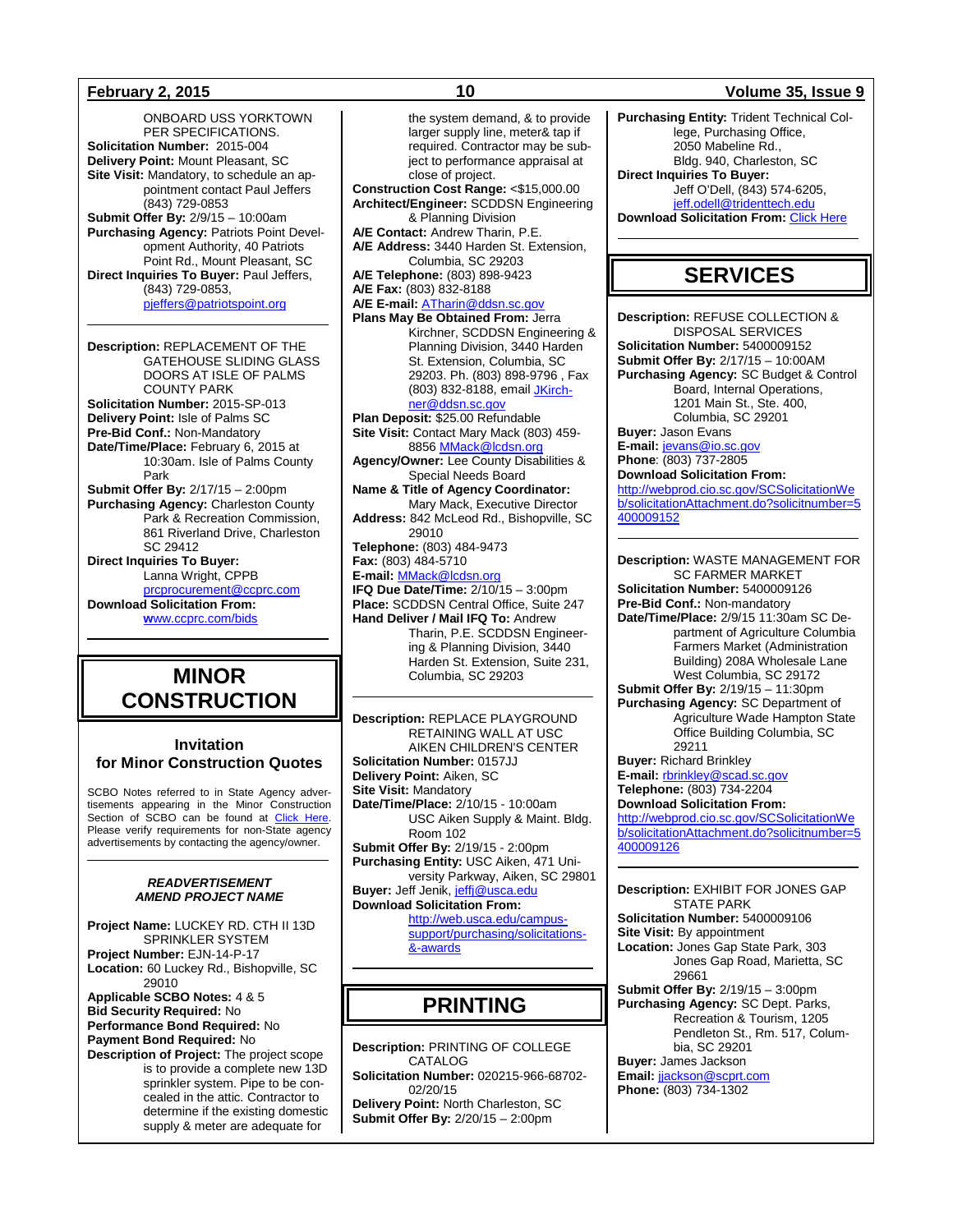ONBOARD USS YORKTOWN PER SPECIFICATIONS. **Solicitation Number:** 2015-004 **Delivery Point:** Mount Pleasant, SC **Site Visit:** Mandatory, to schedule an appointment contact Paul Jeffers (843) 729-0853 **Submit Offer By:** 2/9/15 – 10:00am **Purchasing Agency:** Patriots Point Development Authority, 40 Patriots Point Rd., Mount Pleasant, SC **Direct Inquiries To Buyer:** Paul Jeffers, (843) 729-0853, [pjeffers@patriotspoint.org](mailto:pjeffers@patriotspoint.org)

**Description:** REPLACEMENT OF THE GATEHOUSE SLIDING GLASS DOORS AT ISLE OF PALMS COUNTY PARK **Solicitation Number:** 2015-SP-013 **Delivery Point:** Isle of Palms SC **Pre-Bid Conf.:** Non-Mandatory **Date/Time/Place:** February 6, 2015 at 10:30am. Isle of Palms County Park **Submit Offer By:** 2/17/15 – 2:00pm **Purchasing Agency:** Charleston County Park & Recreation Commission, 861 Riverland Drive, Charleston SC 29412 **Direct Inquiries To Buyer:** Lanna Wright, CPPB [prcprocurement@ccprc.com](mailto:prcprocurement@ccprc.com) **Download Solicitation From: w**[ww.ccprc.com/bids](http://www.ccprc.com/bids)

## **MINOR CONSTRUCTION**

## **Invitation for Minor Construction Quotes**

SCBO Notes referred to in State Agency advertisements appearing in the Minor Construction Section of SCBO can be found at [Click Here.](http://www.mmo.sc.gov/PS/general/scbo/SCBO_Notes_060512.pdf) Please verify requirements for non-State agency advertisements by contacting the agency/owner.

### *READVERTISEMENT AMEND PROJECT NAME*

**Project Name:** LUCKEY RD. CTH II 13D SPRINKLER SYSTEM **Project Number:** EJN-14-P-17 **Location:** 60 Luckey Rd., Bishopville, SC 29010 **Applicable SCBO Notes:** 4 & 5 **Bid Security Required:** No

**Performance Bond Required:** No **Payment Bond Required:** No **Description of Project:** The project scope is to provide a complete new 13D

sprinkler system. Pipe to be concealed in the attic. Contractor to determine if the existing domestic supply & meter are adequate for

the system demand, & to provide larger supply line, meter& tap if required. Contractor may be subject to performance appraisal at close of project. **Construction Cost Range:** <\$15,000.00 **Architect/Engineer:** SCDDSN Engineering & Planning Division **A/E Contact:** Andrew Tharin, P.E. **A/E Address:** 3440 Harden St. Extension, Columbia, SC 29203 **A/E Telephone:** (803) 898-9423 **A/E Fax:** (803) 832-8188 **A/E E-mail:** [ATharin@ddsn.sc.gov](mailto:ATharin@ddsn.sc.gov) **Plans May Be Obtained From:** Jerra Kirchner, SCDDSN Engineering & Planning Division, 3440 Harden St. Extension, Columbia, SC 29203. Ph. (803) 898-9796 , Fax (803) 832-8188, email [JKirch](mailto:JKirchner@ddsn.sc.gov)[ner@ddsn.sc.gov](mailto:JKirchner@ddsn.sc.gov) **Plan Deposit:** \$25.00 Refundable **Site Visit:** Contact Mary Mack (803) 459- 885[6 MMack@lcdsn.org](mailto:MMack@lcdsn.org) **Agency/Owner:** Lee County Disabilities & Special Needs Board **Name & Title of Agency Coordinator:** Mary Mack, Executive Director **Address:** 842 McLeod Rd., Bishopville, SC 29010 **Telephone:** (803) 484-9473 **Fax:** (803) 484-5710 **E-mail:** [MMack@lcdsn.org](mailto:MMack@lcdsn.org) **IFQ Due Date/Time:** 2/10/15 – 3:00pm **Place:** SCDDSN Central Office, Suite 247 **Hand Deliver / Mail IFQ To:** Andrew Tharin, P.E. SCDDSN Engineer-

ing & Planning Division, 3440 Harden St. Extension, Suite 231, Columbia, SC 29203

**Description:** REPLACE PLAYGROUND RETAINING WALL AT USC AIKEN CHILDREN'S CENTER **Solicitation Number:** 0157JJ **Delivery Point:** Aiken, SC **Site Visit:** Mandatory **Date/Time/Place:** 2/10/15 - 10:00am USC Aiken Supply & Maint. Bldg. Room 102 **Submit Offer By:** 2/19/15 - 2:00pm **Purchasing Entity:** USC Aiken, 471 University Parkway, Aiken, SC 29801 **Buyer:** Jeff Jenik[, jeffj@usca.edu](mailto:jeffj@usca.edu) **Download Solicitation From:** [http://web.usca.edu/campus](http://web.usca.edu/campus-support/purchasing/solicitations-and-awards)[support/purchasing/solicitations-](http://web.usca.edu/campus-support/purchasing/solicitations-and-awards)

[&-awards](http://web.usca.edu/campus-support/purchasing/solicitations-and-awards)

## **PRINTING**

**Description:** PRINTING OF COLLEGE CATALOG **Solicitation Number:** 020215-966-68702- 02/20/15 **Delivery Point:** North Charleston, SC **Submit Offer By:** 2/20/15 – 2:00pm

## **February 2, 2015 10 Volume 35, Issue 9**

**Purchasing Entity:** Trident Technical College, Purchasing Office, 2050 Mabeline Rd., Bldg. 940, Charleston, SC **Direct Inquiries To Buyer:** Jeff O'Dell, (843) 574-6205, [jeff.odell@tridenttech.edu](mailto:jeff.odell@tridenttech.edu) **Download Solicitation From: [Click Here](http://www.tridenttech.edu/about/departments/proc/ttc_solic.htm)** 

## **SERVICES**

**Description:** REFUSE COLLECTION & DISPOSAL SERVICES **Solicitation Number:** 5400009152 **Submit Offer By:** 2/17/15 – 10:00AM **Purchasing Agency:** SC Budget & Control Board, Internal Operations, 1201 Main St., Ste. 400, Columbia, SC 29201 **Buyer:** Jason Evans **E-mail:** [jevans@io.sc.gov](mailto:jevans@io.sc.gov)  **Phone**: (803) 737-2805

**Download Solicitation From:**  [http://webprod.cio.sc.gov/SCSolicitationWe](http://webprod.cio.sc.gov/SCSolicitationWeb/solicitationAttachment.do?solicitnumber=5400009152) [b/solicitationAttachment.do?solicitnumber=5](http://webprod.cio.sc.gov/SCSolicitationWeb/solicitationAttachment.do?solicitnumber=5400009152) [400009152](http://webprod.cio.sc.gov/SCSolicitationWeb/solicitationAttachment.do?solicitnumber=5400009152)

**Description:** WASTE MANAGEMENT FOR SC FARMER MARKET **Solicitation Number:** 5400009126 **Pre-Bid Conf.:** Non-mandatory **Date/Time/Place:** 2/9/15 11:30am SC Department of Agriculture Columbia Farmers Market (Administration Building) 208A Wholesale Lane West Columbia, SC 29172 **Submit Offer By:** 2/19/15 – 11:30pm **Purchasing Agency:** SC Department of Agriculture Wade Hampton State Office Building Columbia, SC 29211 **Buyer:** Richard Brinkley **E-mail:** [rbrinkley@scad.sc.gov](mailto:rbrinkley@scad.sc.gov) **Telephone:** (803) 734-2204 **Download Solicitation From:**

[http://webprod.cio.sc.gov/SCSolicitationWe](http://webprod.cio.sc.gov/SCSolicitationWeb/solicitationAttachment.do?solicitnumber=5400009126) [b/solicitationAttachment.do?solicitnumber=5](http://webprod.cio.sc.gov/SCSolicitationWeb/solicitationAttachment.do?solicitnumber=5400009126) [400009126](http://webprod.cio.sc.gov/SCSolicitationWeb/solicitationAttachment.do?solicitnumber=5400009126)

**Description:** EXHIBIT FOR JONES GAP STATE PARK **Solicitation Number:** 5400009106 **Site Visit:** By appointment **Location:** Jones Gap State Park, 303 Jones Gap Road, Marietta, SC 29661 **Submit Offer By:** 2/19/15 – 3:00pm **Purchasing Agency:** SC Dept. Parks, Recreation & Tourism, 1205 Pendleton St., Rm. 517, Columbia, SC 29201 **Buyer:** James Jackson **Email:** [jjackson@scprt.com](mailto:jjackson@scprt.com) **Phone:** (803) 734-1302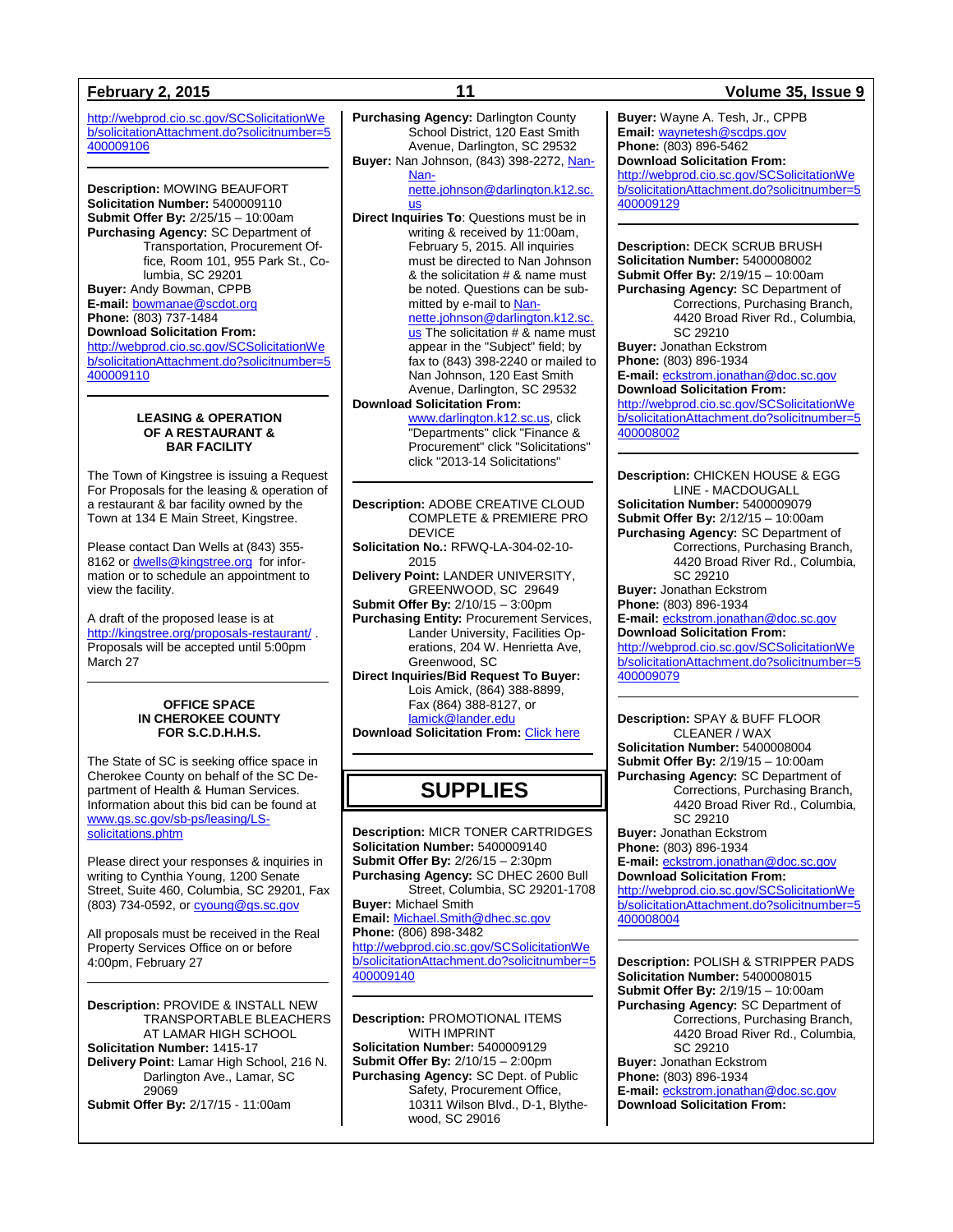[http://webprod.cio.sc.gov/SCSolicitationWe](http://webprod.cio.sc.gov/SCSolicitationWeb/solicitationAttachment.do?solicitnumber=5400009106) [b/solicitationAttachment.do?solicitnumber=5](http://webprod.cio.sc.gov/SCSolicitationWeb/solicitationAttachment.do?solicitnumber=5400009106) [400009106](http://webprod.cio.sc.gov/SCSolicitationWeb/solicitationAttachment.do?solicitnumber=5400009106)

**Description:** MOWING BEAUFORT **Solicitation Number:** 5400009110 **Submit Offer By:** 2/25/15 – 10:00am **Purchasing Agency:** SC Department of Transportation, Procurement Office, Room 101, 955 Park St., Columbia, SC 29201 **Buyer:** Andy Bowman, CPPB **E-mail:** [bowmanae@scdot.org](mailto:bowmanae@scdot.org) **Phone:** (803) 737-1484 **Download Solicitation From:** [http://webprod.cio.sc.gov/SCSolicitationWe](http://webprod.cio.sc.gov/SCSolicitationWeb/solicitationAttachment.do?solicitnumber=5400009110) [b/solicitationAttachment.do?solicitnumber=5](http://webprod.cio.sc.gov/SCSolicitationWeb/solicitationAttachment.do?solicitnumber=5400009110)

[400009110](http://webprod.cio.sc.gov/SCSolicitationWeb/solicitationAttachment.do?solicitnumber=5400009110)

### **LEASING & OPERATION OF A RESTAURANT & BAR FACILITY**

The Town of Kingstree is issuing a Request For Proposals for the leasing & operation of a restaurant & bar facility owned by the Town at 134 E Main Street, Kingstree.

Please contact Dan Wells at (843) 355 8162 o[r dwells@kingstree.org](mailto:dwells@kingstree.org) for information or to schedule an appointment to view the facility.

A draft of the proposed lease is at <http://kingstree.org/proposals-restaurant/> . Proposals will be accepted until 5:00pm March 27

### **OFFICE SPACE IN CHEROKEE COUNTY FOR S.C.D.H.H.S.**

The State of SC is seeking office space in Cherokee County on behalf of the SC Department of Health & Human Services. Information about this bid can be found at [www.gs.sc.gov/sb-ps/leasing/LS](http://www.gs.sc.gov/sb-ps/leasing/LS-solicitations.phtm)[solicitations.phtm](http://www.gs.sc.gov/sb-ps/leasing/LS-solicitations.phtm)

Please direct your responses & inquiries in writing to Cynthia Young, 1200 Senate Street, Suite 460, Columbia, SC 29201, Fax (803) 734-0592, or **cyoung@gs.sc.gov** 

All proposals must be received in the Real Property Services Office on or before 4:00pm, February 27

**Description:** PROVIDE & INSTALL NEW TRANSPORTABLE BLEACHERS AT LAMAR HIGH SCHOOL **Solicitation Number:** 1415-17 **Delivery Point:** Lamar High School, 216 N. Darlington Ave., Lamar, SC 29069 **Submit Offer By:** 2/17/15 - 11:00am

**Purchasing Agency:** Darlington County School District, 120 East Smith Avenue, Darlington, SC 29532 **Buyer:** Nan Johnson, (843) 398-2272, Nan-[Nan-](mailto:Nannette.johnson@darlington.k12.sc.us)

[nette.johnson@darlington.k12.sc.](mailto:Nannette.johnson@darlington.k12.sc.us) [us](mailto:Nannette.johnson@darlington.k12.sc.us)

**Direct Inquiries To**: Questions must be in writing & received by 11:00am, February 5, 2015. All inquiries must be directed to Nan Johnson & the solicitation # & name must be noted. Questions can be submitted by e-mail t[o Nan-](mailto:Nannette.johnson@darlington.k12.sc.us)

[nette.johnson@darlington.k12.sc.](mailto:Nannette.johnson@darlington.k12.sc.us) [us](mailto:Nannette.johnson@darlington.k12.sc.us) The solicitation # & name must appear in the "Subject" field; by fax to (843) 398-2240 or mailed to Nan Johnson, 120 East Smith Avenue, Darlington, SC 29532

## **Download Solicitation From:**

[www.darlington.k12.sc.us,](http://www.darlington.k12.sc.us/) click "Departments" click "Finance & Procurement" click "Solicitations" click "2013-14 Solicitations"

**Description:** ADOBE CREATIVE CLOUD COMPLETE & PREMIERE PRO DEVICE **Solicitation No.:** RFWQ-LA-304-02-10-

2015

**Delivery Point:** LANDER UNIVERSITY, GREENWOOD, SC 29649

**Submit Offer By:** 2/10/15 – 3:00pm **Purchasing Entity:** Procurement Services, Lander University, Facilities Operations, 204 W. Henrietta Ave, Greenwood, SC

**Direct Inquiries/Bid Request To Buyer:** Lois Amick, (864) 388-8899, Fax (864) 388-8127, or [lamick@lander.edu](mailto:lamick@lander.edu)

**Download Solicitation From:** [Click here](http://www.lander.edu/Business-Administration/Procurement-Services/Solicitations.aspx)

## **SUPPLIES**

**Description:** MICR TONER CARTRIDGES **Solicitation Number:** 5400009140 **Submit Offer By:** 2/26/15 – 2:30pm **Purchasing Agency:** SC DHEC 2600 Bull Street, Columbia, SC 29201-1708 **Buyer:** Michael Smith **Email:** [Michael.Smith@dhec.sc.gov](mailto:Michael.Smith@dhec.sc.gov) **Phone:** (806) 898-3482 [http://webprod.cio.sc.gov/SCSolicitationWe](http://webprod.cio.sc.gov/SCSolicitationWeb/solicitationAttachment.do?solicitnumber=5400009140) [b/solicitationAttachment.do?solicitnumber=5](http://webprod.cio.sc.gov/SCSolicitationWeb/solicitationAttachment.do?solicitnumber=5400009140) [400009140](http://webprod.cio.sc.gov/SCSolicitationWeb/solicitationAttachment.do?solicitnumber=5400009140)

**Description:** PROMOTIONAL ITEMS WITH IMPRINT **Solicitation Number:** 5400009129 **Submit Offer By:** 2/10/15 – 2:00pm **Purchasing Agency:** SC Dept. of Public Safety, Procurement Office, 10311 Wilson Blvd., D-1, Blythewood, SC 29016

## **February 2, 2015 11 Volume 35, Issue 9**

**Buyer:** Wayne A. Tesh, Jr., CPPB **Email:** [waynetesh@scdps.gov](mailto:waynetesh@scdps.gov) **Phone:** (803) 896-5462 **Download Solicitation From:** [http://webprod.cio.sc.gov/SCSolicitationWe](http://webprod.cio.sc.gov/SCSolicitationWeb/solicitationAttachment.do?solicitnumber=5400009129) [b/solicitationAttachment.do?solicitnumber=5](http://webprod.cio.sc.gov/SCSolicitationWeb/solicitationAttachment.do?solicitnumber=5400009129) [400009129](http://webprod.cio.sc.gov/SCSolicitationWeb/solicitationAttachment.do?solicitnumber=5400009129)

**Description:** DECK SCRUB BRUSH **Solicitation Number:** 5400008002 **Submit Offer By:** 2/19/15 – 10:00am **Purchasing Agency:** SC Department of Corrections, Purchasing Branch, 4420 Broad River Rd., Columbia, SC 29210 **Buyer:** Jonathan Eckstrom **Phone:** (803) 896-1934 **E-mail:** [eckstrom.jonathan@doc.sc.gov](mailto:eckstrom.jonathan@doc.sc.gov) **Download Solicitation From:** [http://webprod.cio.sc.gov/SCSolicitationWe](http://webprod.cio.sc.gov/SCSolicitationWeb/solicitationAttachment.do?solicitnumber=5400008002) [b/solicitationAttachment.do?solicitnumber=5](http://webprod.cio.sc.gov/SCSolicitationWeb/solicitationAttachment.do?solicitnumber=5400008002)

## [400008002](http://webprod.cio.sc.gov/SCSolicitationWeb/solicitationAttachment.do?solicitnumber=5400008002)

**Description:** CHICKEN HOUSE & EGG LINE - MACDOUGALL **Solicitation Number:** 5400009079 **Submit Offer By:** 2/12/15 – 10:00am **Purchasing Agency:** SC Department of Corrections, Purchasing Branch, 4420 Broad River Rd., Columbia, SC 29210 **Buyer:** Jonathan Eckstrom **Phone:** (803) 896-1934 **E-mail:** [eckstrom.jonathan@doc.sc.gov](mailto:eckstrom.jonathan@doc.sc.gov) **Download Solicitation From:** [http://webprod.cio.sc.gov/SCSolicitationWe](http://webprod.cio.sc.gov/SCSolicitationWeb/solicitationAttachment.do?solicitnumber=5400009079) [b/solicitationAttachment.do?solicitnumber=5](http://webprod.cio.sc.gov/SCSolicitationWeb/solicitationAttachment.do?solicitnumber=5400009079) [400009079](http://webprod.cio.sc.gov/SCSolicitationWeb/solicitationAttachment.do?solicitnumber=5400009079)

**Description:** SPAY & BUFF FLOOR CLEANER / WAX **Solicitation Number:** 5400008004 **Submit Offer By:** 2/19/15 – 10:00am **Purchasing Agency:** SC Department of Corrections, Purchasing Branch, 4420 Broad River Rd., Columbia,

SC 29210 **Buyer:** Jonathan Eckstrom **Phone:** (803) 896-1934 **E-mail:** [eckstrom.jonathan@doc.sc.gov](mailto:eckstrom.jonathan@doc.sc.gov)

**Download Solicitation From:**

[http://webprod.cio.sc.gov/SCSolicitationWe](http://webprod.cio.sc.gov/SCSolicitationWeb/solicitationAttachment.do?solicitnumber=5400008004) [b/solicitationAttachment.do?solicitnumber=5](http://webprod.cio.sc.gov/SCSolicitationWeb/solicitationAttachment.do?solicitnumber=5400008004) [400008004](http://webprod.cio.sc.gov/SCSolicitationWeb/solicitationAttachment.do?solicitnumber=5400008004)

**Description:** POLISH & STRIPPER PADS **Solicitation Number:** 5400008015 **Submit Offer By:** 2/19/15 – 10:00am **Purchasing Agency:** SC Department of Corrections, Purchasing Branch, 4420 Broad River Rd., Columbia, SC 29210 **Buyer:** Jonathan Eckstrom **Phone:** (803) 896-1934 **E-mail:** [eckstrom.jonathan@doc.sc.gov](mailto:eckstrom.jonathan@doc.sc.gov) **Download Solicitation From:**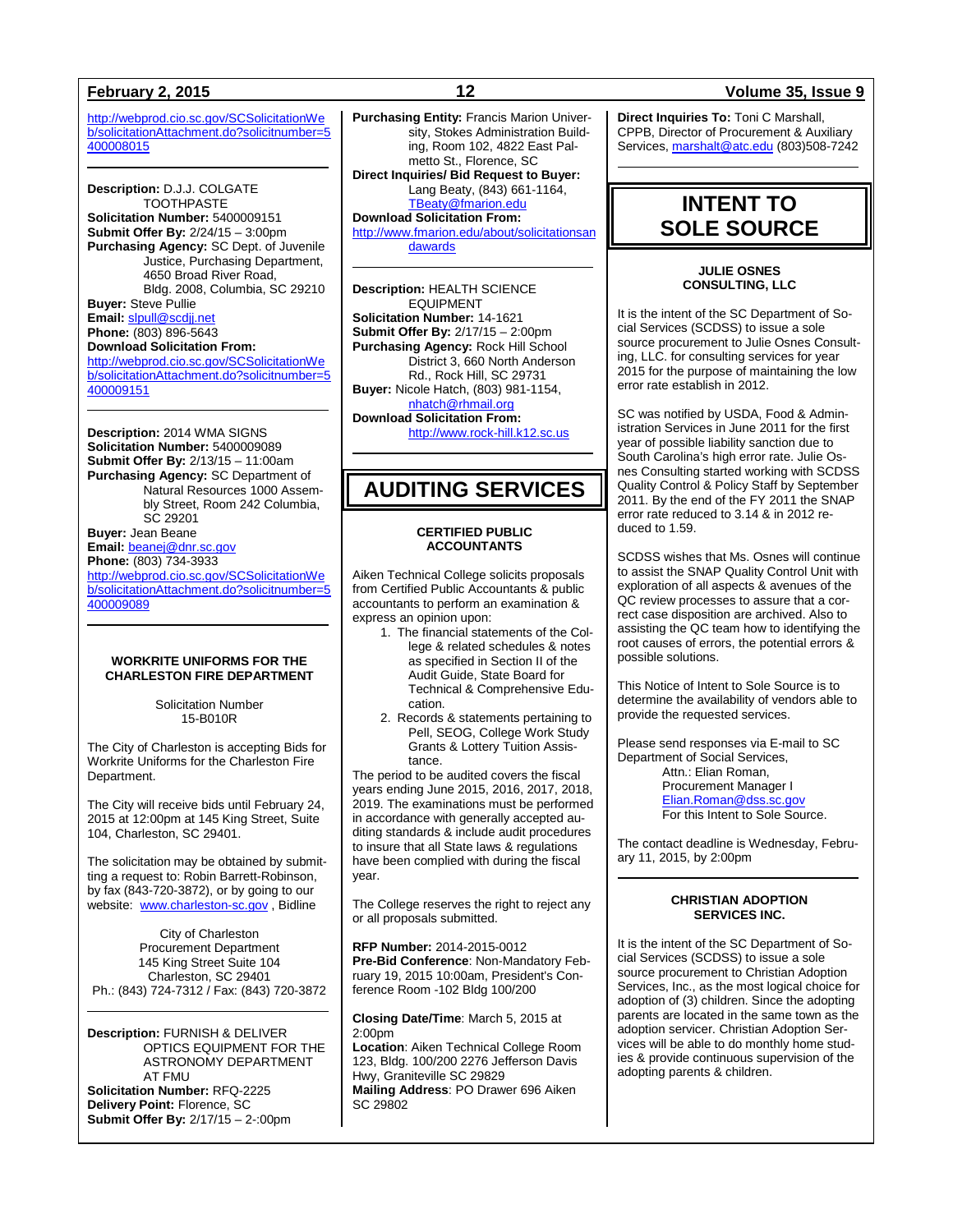[http://webprod.cio.sc.gov/SCSolicitationWe](http://webprod.cio.sc.gov/SCSolicitationWeb/solicitationAttachment.do?solicitnumber=5400008015) [b/solicitationAttachment.do?solicitnumber=5](http://webprod.cio.sc.gov/SCSolicitationWeb/solicitationAttachment.do?solicitnumber=5400008015) [400008015](http://webprod.cio.sc.gov/SCSolicitationWeb/solicitationAttachment.do?solicitnumber=5400008015)

**Description:** D.J.J. COLGATE TOOTHPASTE **Solicitation Number:** 5400009151 **Submit Offer By:** 2/24/15 – 3:00pm **Purchasing Agency:** SC Dept. of Juvenile Justice, Purchasing Department, 4650 Broad River Road, Bldg. 2008, Columbia, SC 29210 **Buyer:** Steve Pullie **Email:** [slpull@scdjj.net](mailto:slpull@scdjj.net) **Phone:** (803) 896-5643 **Download Solicitation From:** [http://webprod.cio.sc.gov/SCSolicitationWe](http://webprod.cio.sc.gov/SCSolicitationWeb/solicitationAttachment.do?solicitnumber=5400009151) [b/solicitationAttachment.do?solicitnumber=5](http://webprod.cio.sc.gov/SCSolicitationWeb/solicitationAttachment.do?solicitnumber=5400009151) [400009151](http://webprod.cio.sc.gov/SCSolicitationWeb/solicitationAttachment.do?solicitnumber=5400009151)

**Description:** 2014 WMA SIGNS **Solicitation Number:** 5400009089 **Submit Offer By:** 2/13/15 – 11:00am **Purchasing Agency:** SC Department of Natural Resources 1000 Assembly Street, Room 242 Columbia, SC 29201 **Buyer:** Jean Beane **Email:** [beanej@dnr.sc.gov](mailto:beanej@dnr.sc.gov) **Phone:** (803) 734-3933 [http://webprod.cio.sc.gov/SCSolicitationWe](http://webprod.cio.sc.gov/SCSolicitationWeb/solicitationAttachment.do?solicitnumber=5400009089) [b/solicitationAttachment.do?solicitnumber=5](http://webprod.cio.sc.gov/SCSolicitationWeb/solicitationAttachment.do?solicitnumber=5400009089) [400009089](http://webprod.cio.sc.gov/SCSolicitationWeb/solicitationAttachment.do?solicitnumber=5400009089)

### **WORKRITE UNIFORMS FOR THE CHARLESTON FIRE DEPARTMENT**

Solicitation Number 15-B010R

The City of Charleston is accepting Bids for Workrite Uniforms for the Charleston Fire Department.

The City will receive bids until February 24, 2015 at 12:00pm at 145 King Street, Suite 104, Charleston, SC 29401.

The solicitation may be obtained by submitting a request to: Robin Barrett-Robinson, by fax (843-720-3872), or by going to our website: [www.charleston-sc.gov](http://www.charleston-sc.gov/), Bidline

City of Charleston Procurement Department 145 King Street Suite 104 Charleston, SC 29401 Ph.: (843) 724-7312 / Fax: (843) 720-3872

**Description:** FURNISH & DELIVER OPTICS EQUIPMENT FOR THE ASTRONOMY DEPARTMENT AT FMU **Solicitation Number:** RFQ-2225 **Delivery Point:** Florence, SC **Submit Offer By:** 2/17/15 – 2-:00pm

**Purchasing Entity:** Francis Marion University, Stokes Administration Building, Room 102, 4822 East Palmetto St., Florence, SC **Direct Inquiries/ Bid Request to Buyer:** Lang Beaty, (843) 661-1164, [TBeaty@fmarion.edu](mailto:TBeaty@fmarion.edu) **Download Solicitation From:** [http://www.fmarion.edu/about/solicitationsan](http://www.fmarion.edu/about/solicitationsandawards)

[dawards](http://www.fmarion.edu/about/solicitationsandawards)

**Description:** HEALTH SCIENCE EQUIPMENT **Solicitation Number:** 14-1621 **Submit Offer By:** 2/17/15 – 2:00pm **Purchasing Agency:** Rock Hill School District 3, 660 North Anderson Rd., Rock Hill, SC 29731 **Buyer:** Nicole Hatch, (803) 981-1154, [nhatch@rhmail.org](mailto:nhatch@rhmail.org) **Download Solicitation From:**

[http://www.rock-hill.k12.sc.us](http://www.rock-hill.k12.sc.us/)

## **AUDITING SERVICES**

## **CERTIFIED PUBLIC ACCOUNTANTS**

Aiken Technical College solicits proposals from Certified Public Accountants & public accountants to perform an examination & express an opinion upon:

- 1. The financial statements of the College & related schedules & notes as specified in Section II of the Audit Guide, State Board for Technical & Comprehensive Education.
- 2. Records & statements pertaining to Pell, SEOG, College Work Study Grants & Lottery Tuition Assistance.

The period to be audited covers the fiscal years ending June 2015, 2016, 2017, 2018, 2019. The examinations must be performed in accordance with generally accepted auditing standards & include audit procedures to insure that all State laws & regulations have been complied with during the fiscal year.

The College reserves the right to reject any or all proposals submitted.

**RFP Number:** 2014-2015-0012 **Pre-Bid Conference**: Non-Mandatory February 19, 2015 10:00am, President's Conference Room -102 Bldg 100/200

**Closing Date/Time**: March 5, 2015 at  $2:00$ pm

**Location**: Aiken Technical College Room 123, Bldg. 100/200 2276 Jefferson Davis Hwy, Graniteville SC 29829 **Mailing Address**: PO Drawer 696 Aiken SC 29802

## **February 2, 2015 12 Volume 35, Issue 9**

**Direct Inquiries To:** Toni C Marshall, CPPB, Director of Procurement & Auxiliary Services, [marshalt@atc.edu](mailto:marshalt@atc.edu) (803)508-7242

## **INTENT TO SOLE SOURCE**

## **JULIE OSNES CONSULTING, LLC**

It is the intent of the SC Department of Social Services (SCDSS) to issue a sole source procurement to Julie Osnes Consulting, LLC. for consulting services for year 2015 for the purpose of maintaining the low error rate establish in 2012.

SC was notified by USDA, Food & Administration Services in June 2011 for the first year of possible liability sanction due to South Carolina's high error rate. Julie Osnes Consulting started working with SCDSS Quality Control & Policy Staff by September 2011. By the end of the FY 2011 the SNAP error rate reduced to 3.14 & in 2012 reduced to 1.59.

SCDSS wishes that Ms. Osnes will continue to assist the SNAP Quality Control Unit with exploration of all aspects & avenues of the QC review processes to assure that a correct case disposition are archived. Also to assisting the QC team how to identifying the root causes of errors, the potential errors & possible solutions.

This Notice of Intent to Sole Source is to determine the availability of vendors able to provide the requested services.

Please send responses via E-mail to SC Department of Social Services, Attn.: Elian Roman, Procurement Manager I [Elian.Roman@dss.sc.gov](mailto:Elian.Roman@dss.sc.gov) For this Intent to Sole Source.

The contact deadline is Wednesday, February 11, 2015, by 2:00pm

### **CHRISTIAN ADOPTION SERVICES INC.**

It is the intent of the SC Department of Social Services (SCDSS) to issue a sole source procurement to Christian Adoption Services, Inc., as the most logical choice for adoption of (3) children. Since the adopting parents are located in the same town as the adoption servicer. Christian Adoption Services will be able to do monthly home studies & provide continuous supervision of the adopting parents & children.